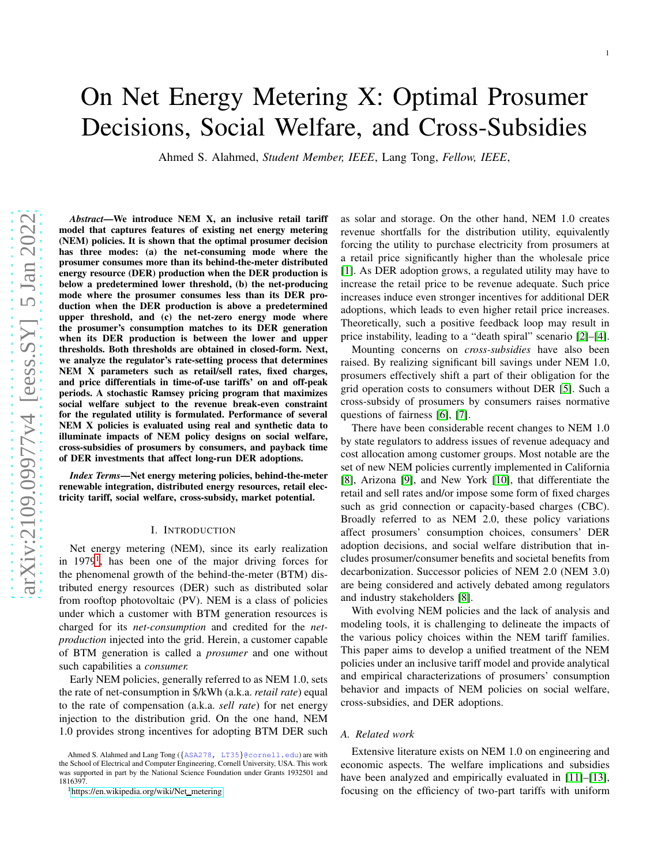# On Net Energy Metering X: Optimal Prosumer Decisions, Social Welfare, and Cross-Subsidies

Ahmed S. Alahmed, *Student Member, IEEE*, Lang Tong, *Fellow, IEEE*,

*Abstract*—We introduce NEM X, an inclusive retail tariff model that captures features of existing net energy metering (NEM) policies. It is shown that the optimal prosumer decision has three modes: (a) the net-consuming mode where the prosumer consumes more than its behind-the-meter distributed energy resource (DER) production when the DER production is below a predetermined lower threshold, (b) the net-producing mode where the prosumer consumes less than its DER production when the DER production is above a predetermined upper threshold, and (c) the net-zero energy mode where the prosumer's consumption matches to its DER generation when its DER production is between the lower and upper thresholds. Both thresholds are obtained in closed-form. Next, we analyze the regulator's rate-setting process that determines NEM X parameters such as retail/sell rates, fixed charges, and price differentials in time-of-use tariffs' on and off-peak periods. A stochastic Ramsey pricing program that maximizes social welfare subject to the revenue break-even constraint for the regulated utility is formulated. Performance of several NEM X policies is evaluated using real and synthetic data to illuminate impacts of NEM policy designs on social welfare, cross-subsidies of prosumers by consumers, and payback time of DER investments that affect long-run DER adoptions.

*Index Terms*—Net energy metering policies, behind-the-meter renewable integration, distributed energy resources, retail electricity tariff, social welfare, cross-subsidy, market potential.

## I. INTRODUCTION

Net energy metering (NEM), since its early realization in [1](#page-0-0)979<sup>1</sup>, has been one of the major driving forces for the phenomenal growth of the behind-the-meter (BTM) distributed energy resources (DER) such as distributed solar from rooftop photovoltaic (PV). NEM is a class of policies under which a customer with BTM generation resources is charged for its *net-consumption* and credited for the *netproduction* injected into the grid. Herein, a customer capable of BTM generation is called a *prosumer* and one without such capabilities a *consumer.*

Early NEM policies, generally referred to as NEM 1.0, sets the rate of net-consumption in \$/kWh (a.k.a. *retail rate*) equal to the rate of compensation (a.k.a. *sell rate*) for net energy injection to the distribution grid. On the one hand, NEM 1.0 provides strong incentives for adopting BTM DER such

as solar and storage. On the other hand, NEM 1.0 creates revenue shortfalls for the distribution utility, equivalently forcing the utility to purchase electricity from prosumers at a retail price significantly higher than the wholesale price [\[1\]](#page-10-0). As DER adoption grows, a regulated utility may have to increase the retail price to be revenue adequate. Such price increases induce even stronger incentives for additional DER adoptions, which leads to even higher retail price increases. Theoretically, such a positive feedback loop may result in price instability, leading to a "death spiral" scenario [\[2\]](#page-10-1)–[\[4\]](#page-10-2).

Mounting concerns on *cross-subsidies* have also been raised. By realizing significant bill savings under NEM 1.0, prosumers effectively shift a part of their obligation for the grid operation costs to consumers without DER [\[5\]](#page-10-3). Such a cross-subsidy of prosumers by consumers raises normative questions of fairness [\[6\]](#page-10-4), [\[7\]](#page-10-5).

There have been considerable recent changes to NEM 1.0 by state regulators to address issues of revenue adequacy and cost allocation among customer groups. Most notable are the set of new NEM policies currently implemented in California [\[8\]](#page-10-6), Arizona [\[9\]](#page-10-7), and New York [\[10\]](#page-10-8), that differentiate the retail and sell rates and/or impose some form of fixed charges such as grid connection or capacity-based charges (CBC). Broadly referred to as NEM 2.0, these policy variations affect prosumers' consumption choices, consumers' DER adoption decisions, and social welfare distribution that includes prosumer/consumer benefits and societal benefits from decarbonization. Successor policies of NEM 2.0 (NEM 3.0) are being considered and actively debated among regulators and industry stakeholders [\[8\]](#page-10-6).

With evolving NEM policies and the lack of analysis and modeling tools, it is challenging to delineate the impacts of the various policy choices within the NEM tariff families. This paper aims to develop a unified treatment of the NEM policies under an inclusive tariff model and provide analytical and empirical characterizations of prosumers' consumption behavior and impacts of NEM policies on social welfare, cross-subsidies, and DER adoptions.

#### *A. Related work*

Extensive literature exists on NEM 1.0 on engineering and economic aspects. The welfare implications and subsidies have been analyzed and empirically evaluated in [\[11\]](#page-10-9)–[\[13\]](#page-10-10), focusing on the efficiency of two-part tariffs with uniform

Ahmed S. Alahmed and Lang Tong ({ASA278, LT35}@cornell.edu) are with the School of Electrical and Computer Engineering, Cornell University, USA. This work was supported in part by the National Science Foundation under Grants 1932501 and 1816397.

<span id="page-0-0"></span><sup>1</sup>[https://en.wikipedia.org/wiki/Net](https://en.wikipedia.org/wiki/Net_metering) metering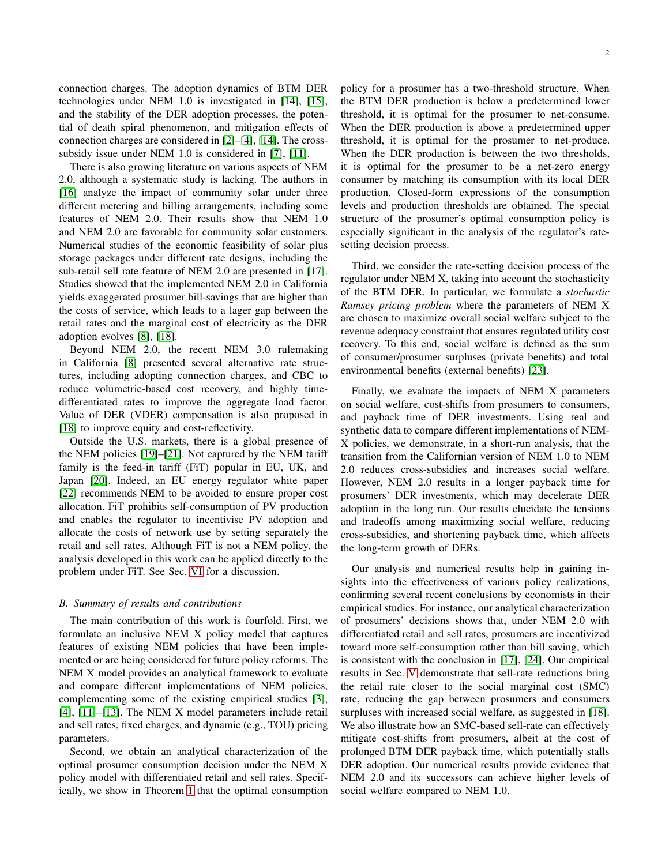connection charges. The adoption dynamics of BTM DER technologies under NEM 1.0 is investigated in [\[14\]](#page-10-11), [\[15\]](#page-10-12), and the stability of the DER adoption processes, the potential of death spiral phenomenon, and mitigation effects of connection charges are considered in [\[2\]](#page-10-1)–[\[4\]](#page-10-2), [\[14\]](#page-10-11). The crosssubsidy issue under NEM 1.0 is considered in [\[7\]](#page-10-5), [\[11\]](#page-10-9).

There is also growing literature on various aspects of NEM 2.0, although a systematic study is lacking. The authors in [\[16\]](#page-10-13) analyze the impact of community solar under three different metering and billing arrangements, including some features of NEM 2.0. Their results show that NEM 1.0 and NEM 2.0 are favorable for community solar customers. Numerical studies of the economic feasibility of solar plus storage packages under different rate designs, including the sub-retail sell rate feature of NEM 2.0 are presented in [\[17\]](#page-10-14). Studies showed that the implemented NEM 2.0 in California yields exaggerated prosumer bill-savings that are higher than the costs of service, which leads to a lager gap between the retail rates and the marginal cost of electricity as the DER adoption evolves [\[8\]](#page-10-6), [\[18\]](#page-10-15).

Beyond NEM 2.0, the recent NEM 3.0 rulemaking in California [\[8\]](#page-10-6) presented several alternative rate structures, including adopting connection charges, and CBC to reduce volumetric-based cost recovery, and highly timedifferentiated rates to improve the aggregate load factor. Value of DER (VDER) compensation is also proposed in [\[18\]](#page-10-15) to improve equity and cost-reflectivity.

Outside the U.S. markets, there is a global presence of the NEM policies [\[19\]](#page-10-16)–[\[21\]](#page-10-17). Not captured by the NEM tariff family is the feed-in tariff (FiT) popular in EU, UK, and Japan [\[20\]](#page-10-18). Indeed, an EU energy regulator white paper [\[22\]](#page-10-19) recommends NEM to be avoided to ensure proper cost allocation. FiT prohibits self-consumption of PV production and enables the regulator to incentivise PV adoption and allocate the costs of network use by setting separately the retail and sell rates. Although FiT is not a NEM policy, the analysis developed in this work can be applied directly to the problem under FiT. See Sec. [VI](#page-9-0) for a discussion.

#### *B. Summary of results and contributions*

The main contribution of this work is fourfold. First, we formulate an inclusive NEM X policy model that captures features of existing NEM policies that have been implemented or are being considered for future policy reforms. The NEM X model provides an analytical framework to evaluate and compare different implementations of NEM policies, complementing some of the existing empirical studies [\[3\]](#page-10-20), [\[4\]](#page-10-2), [\[11\]](#page-10-9)–[\[13\]](#page-10-10). The NEM X model parameters include retail and sell rates, fixed charges, and dynamic (e.g., TOU) pricing parameters.

Second, we obtain an analytical characterization of the optimal prosumer consumption decision under the NEM X policy model with differentiated retail and sell rates. Specifically, we show in Theorem [1](#page-3-0) that the optimal consumption policy for a prosumer has a two-threshold structure. When the BTM DER production is below a predetermined lower threshold, it is optimal for the prosumer to net-consume. When the DER production is above a predetermined upper threshold, it is optimal for the prosumer to net-produce. When the DER production is between the two thresholds, it is optimal for the prosumer to be a net-zero energy consumer by matching its consumption with its local DER production. Closed-form expressions of the consumption levels and production thresholds are obtained. The special structure of the prosumer's optimal consumption policy is especially significant in the analysis of the regulator's ratesetting decision process.

Third, we consider the rate-setting decision process of the regulator under NEM X, taking into account the stochasticity of the BTM DER. In particular, we formulate a *stochastic Ramsey pricing problem* where the parameters of NEM X are chosen to maximize overall social welfare subject to the revenue adequacy constraint that ensures regulated utility cost recovery. To this end, social welfare is defined as the sum of consumer/prosumer surpluses (private benefits) and total environmental benefits (external benefits) [\[23\]](#page-10-21).

Finally, we evaluate the impacts of NEM X parameters on social welfare, cost-shifts from prosumers to consumers, and payback time of DER investments. Using real and synthetic data to compare different implementations of NEM-X policies, we demonstrate, in a short-run analysis, that the transition from the Californian version of NEM 1.0 to NEM 2.0 reduces cross-subsidies and increases social welfare. However, NEM 2.0 results in a longer payback time for prosumers' DER investments, which may decelerate DER adoption in the long run. Our results elucidate the tensions and tradeoffs among maximizing social welfare, reducing cross-subsidies, and shortening payback time, which affects the long-term growth of DERs.

Our analysis and numerical results help in gaining insights into the effectiveness of various policy realizations, confirming several recent conclusions by economists in their empirical studies. For instance, our analytical characterization of prosumers' decisions shows that, under NEM 2.0 with differentiated retail and sell rates, prosumers are incentivized toward more self-consumption rather than bill saving, which is consistent with the conclusion in [\[17\]](#page-10-14), [\[24\]](#page-10-22). Our empirical results in Sec. [V](#page-7-0) demonstrate that sell-rate reductions bring the retail rate closer to the social marginal cost (SMC) rate, reducing the gap between prosumers and consumers surpluses with increased social welfare, as suggested in [\[18\]](#page-10-15). We also illustrate how an SMC-based sell-rate can effectively mitigate cost-shifts from prosumers, albeit at the cost of prolonged BTM DER payback time, which potentially stalls DER adoption. Our numerical results provide evidence that NEM 2.0 and its successors can achieve higher levels of social welfare compared to NEM 1.0.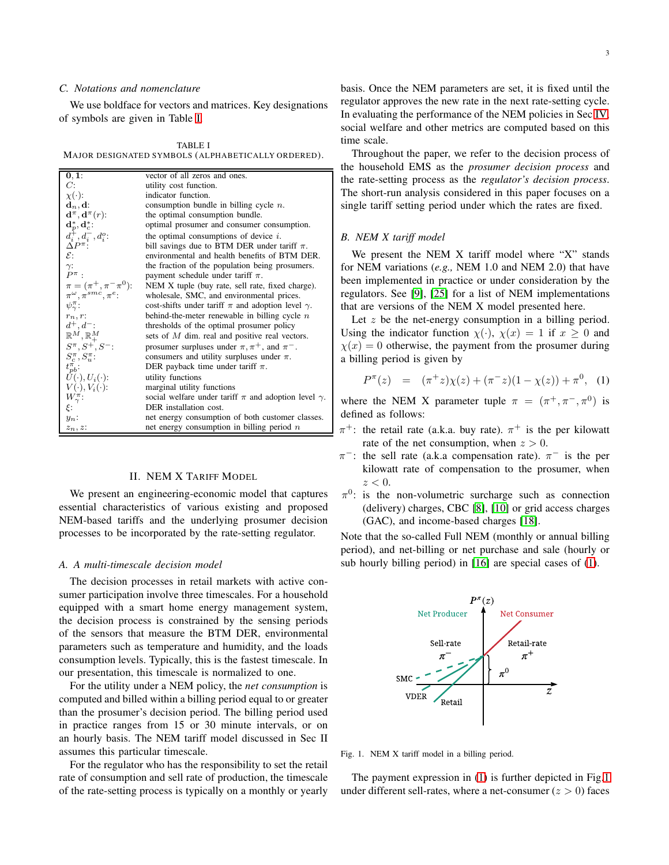# *C. Notations and nomenclature*

We use boldface for vectors and matrices. Key designations of symbols are given in Table [I.](#page-2-0)

<span id="page-2-0"></span>TABLE I MAJOR DESIGNATED SYMBOLS (ALPHABETICALLY ORDERED).

| 0, 1:                                                 | vector of all zeros and ones.                                   |
|-------------------------------------------------------|-----------------------------------------------------------------|
| C:                                                    | utility cost function.                                          |
| $\chi(\cdot)$ :                                       | indicator function.                                             |
| $\mathbf{d}_n, \mathbf{d}$ :                          | consumption bundle in billing cycle $n$ .                       |
| $\mathbf{d}^{\pi}, \mathbf{d}^{\pi}(r)$ :             | the optimal consumption bundle.                                 |
| $\mathbf{d}_p^*, \mathbf{d}_c^*$ :                    | optimal prosumer and consumer consumption.                      |
| $d_i^{\dagger}, d_i^{\dagger}, d_i^o: \Delta P^{\pi}$ | the optimal consumptions of device $i$ .                        |
|                                                       | bill savings due to BTM DER under tariff $\pi$ .                |
| $\varepsilon$ :                                       | environmental and health benefits of BTM DER.                   |
|                                                       | the fraction of the population being prosumers.                 |
| $\gamma: P^{\pi}$ .                                   | payment schedule under tariff $\pi$ .                           |
| $\pi = (\pi^+, \pi^- \pi^0)$ :                        | NEM X tuple (buy rate, sell rate, fixed charge).                |
| $\pi^{\omega}, \pi^{smc}, \pi^{e}$                    | wholesale, SMC, and environmental prices.                       |
| $\psi_{\gamma}^{\pi}$ :                               | cost-shifts under tariff $\pi$ and adoption level $\gamma$ .    |
| $r_n, r$ :                                            | behind-the-meter renewable in billing cycle $n$                 |
| $d^+, d^-$                                            | thresholds of the optimal prosumer policy                       |
| $\mathbb{R}^M, \mathbb{R}^M_+$                        | sets of M dim. real and positive real vectors.                  |
| $S^{\pi}, S^+, S^-$                                   | prosumer surpluses under $\pi, \pi^+$ , and $\pi^-$ .           |
| $S_c^{\pi}, S_u^{\pi}$ :                              | consumers and utility surpluses under $\pi$ .                   |
| $t_{pb}^{\pi}$ :                                      | DER payback time under tariff $\pi$ .                           |
| $U(\cdot), U_i(\cdot)$ :                              | utility functions                                               |
| $V(\cdot), V_i(\cdot)$ :                              | marginal utility functions                                      |
| $W_{\gamma}^{\pi}$ :                                  | social welfare under tariff $\pi$ and adoption level $\gamma$ . |
| ξ:                                                    | DER installation cost.                                          |
| $y_n$ :                                               | net energy consumption of both customer classes.                |
| $z_n, z$ :                                            | net energy consumption in billing period $n$                    |

# II. NEM X TARIFF MODEL

We present an engineering-economic model that captures essential characteristics of various existing and proposed NEM-based tariffs and the underlying prosumer decision processes to be incorporated by the rate-setting regulator.

## *A. A multi-timescale decision model*

The decision processes in retail markets with active consumer participation involve three timescales. For a household equipped with a smart home energy management system, the decision process is constrained by the sensing periods of the sensors that measure the BTM DER, environmental parameters such as temperature and humidity, and the loads consumption levels. Typically, this is the fastest timescale. In our presentation, this timescale is normalized to one.

For the utility under a NEM policy, the *net consumption* is computed and billed within a billing period equal to or greater than the prosumer's decision period. The billing period used in practice ranges from 15 or 30 minute intervals, or on an hourly basis. The NEM tariff model discussed in Sec II assumes this particular timescale.

For the regulator who has the responsibility to set the retail rate of consumption and sell rate of production, the timescale of the rate-setting process is typically on a monthly or yearly

basis. Once the NEM parameters are set, it is fixed until the regulator approves the new rate in the next rate-setting cycle. In evaluating the performance of the NEM policies in Sec [IV,](#page-5-0) social welfare and other metrics are computed based on this time scale.

Throughout the paper, we refer to the decision process of the household EMS as the *prosumer decision process* and the rate-setting process as the *regulator's decision process*. The short-run analysis considered in this paper focuses on a single tariff setting period under which the rates are fixed.

## *B. NEM X tariff model*

We present the NEM X tariff model where "X" stands for NEM variations (*e.g.,* NEM 1.0 and NEM 2.0) that have been implemented in practice or under consideration by the regulators. See [\[9\]](#page-10-7), [\[25\]](#page-10-23) for a list of NEM implementations that are versions of the NEM X model presented here.

Let z be the net-energy consumption in a billing period. Using the indicator function  $\chi(\cdot)$ ,  $\chi(x) = 1$  if  $x \ge 0$  and  $\chi(x) = 0$  otherwise, the payment from the prosumer during a billing period is given by

<span id="page-2-1"></span>
$$
P^{\pi}(z) = (\pi^+ z)\chi(z) + (\pi^- z)(1 - \chi(z)) + \pi^0, \quad (1)
$$

where the NEM X parameter tuple  $\pi = (\pi^+, \pi^-, \pi^0)$  is defined as follows:

- $\pi^+$ : the retail rate (a.k.a. buy rate).  $\pi^+$  is the per kilowatt rate of the net consumption, when  $z > 0$ .
- $\pi^-$ : the sell rate (a.k.a compensation rate).  $\pi^-$  is the per kilowatt rate of compensation to the prosumer, when  $z < 0$ .
- $\pi^0$ : is the non-volumetric surcharge such as connection (delivery) charges, CBC [\[8\]](#page-10-6), [\[10\]](#page-10-8) or grid access charges (GAC), and income-based charges [\[18\]](#page-10-15).

Note that the so-called Full NEM (monthly or annual billing period), and net-billing or net purchase and sale (hourly or sub hourly billing period) in [\[16\]](#page-10-13) are special cases of [\(1\)](#page-2-1).



<span id="page-2-2"></span>Fig. 1. NEM X tariff model in a billing period.

The payment expression in [\(1\)](#page-2-1) is further depicted in Fig[.1](#page-2-2) under different sell-rates, where a net-consumer  $(z > 0)$  faces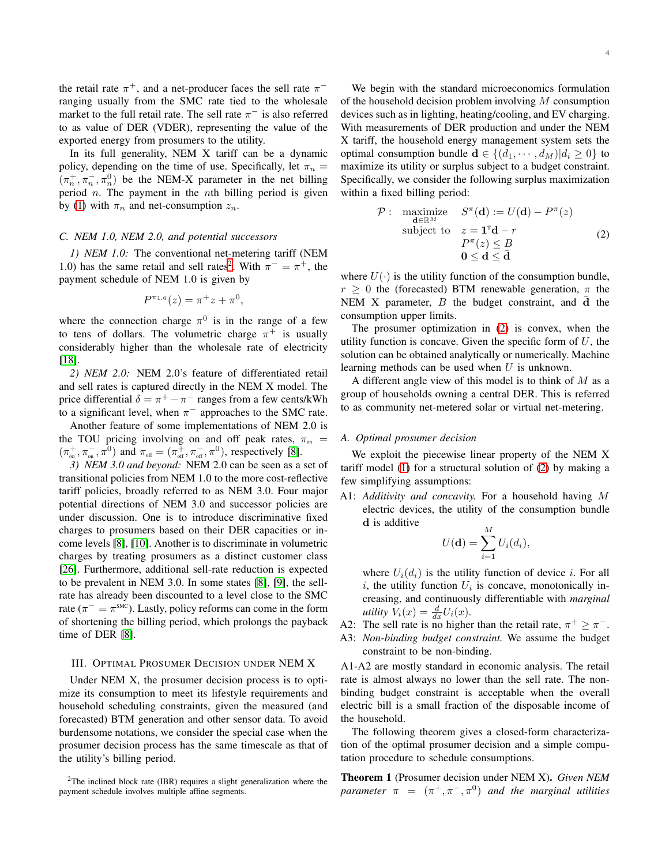the retail rate  $\pi^+$ , and a net-producer faces the sell rate  $\pi^$ ranging usually from the SMC rate tied to the wholesale market to the full retail rate. The sell rate  $\pi^-$  is also referred to as value of DER (VDER), representing the value of the exported energy from prosumers to the utility.

In its full generality, NEM X tariff can be a dynamic policy, depending on the time of use. Specifically, let  $\pi_n =$  $(\pi_n^+, \pi_n^-, \pi_n^0)$  be the NEM-X parameter in the net billing period  $n$ . The payment in the nth billing period is given by [\(1\)](#page-2-1) with  $\pi_n$  and net-consumption  $z_n$ .

## *C. NEM 1.0, NEM 2.0, and potential successors*

*1) NEM 1.0:* The conventional net-metering tariff (NEM 1.0) has the same retail and sell rates<sup>[2](#page-3-1)</sup>. With  $\pi^- = \pi^+$ , the payment schedule of NEM 1.0 is given by

$$
P^{\pi_{1,0}}(z) = \pi^+ z + \pi^0,
$$

where the connection charge  $\pi^0$  is in the range of a few to tens of dollars. The volumetric charge  $\pi^+$  is usually considerably higher than the wholesale rate of electricity [\[18\]](#page-10-15).

*2) NEM 2.0:* NEM 2.0's feature of differentiated retail and sell rates is captured directly in the NEM X model. The price differential  $\delta = \pi^+ - \pi^-$  ranges from a few cents/kWh to a significant level, when  $\pi^-$  approaches to the SMC rate.

Another feature of some implementations of NEM 2.0 is the TOU pricing involving on and off peak rates,  $\pi_{on}$  =  $(\pi_{\text{on}}^+, \pi_{\text{on}}^-, \pi^0)$  and  $\pi_{\text{off}} = (\pi_{\text{off}}^+, \pi_{\text{off}}^-, \pi^0)$ , respectively [\[8\]](#page-10-6).

*3) NEM 3.0 and beyond:* NEM 2.0 can be seen as a set of transitional policies from NEM 1.0 to the more cost-reflective tariff policies, broadly referred to as NEM 3.0. Four major potential directions of NEM 3.0 and successor policies are under discussion. One is to introduce discriminative fixed charges to prosumers based on their DER capacities or income levels [\[8\]](#page-10-6), [\[10\]](#page-10-8). Another is to discriminate in volumetric charges by treating prosumers as a distinct customer class [\[26\]](#page-10-24). Furthermore, additional sell-rate reduction is expected to be prevalent in NEM 3.0. In some states [\[8\]](#page-10-6), [\[9\]](#page-10-7), the sellrate has already been discounted to a level close to the SMC rate ( $\pi^- = \pi^{\text{smc}}$ ). Lastly, policy reforms can come in the form of shortening the billing period, which prolongs the payback time of DER [\[8\]](#page-10-6).

## <span id="page-3-3"></span>III. OPTIMAL PROSUMER DECISION UNDER NEM X

Under NEM X, the prosumer decision process is to optimize its consumption to meet its lifestyle requirements and household scheduling constraints, given the measured (and forecasted) BTM generation and other sensor data. To avoid burdensome notations, we consider the special case when the prosumer decision process has the same timescale as that of the utility's billing period.

We begin with the standard microeconomics formulation of the household decision problem involving  $M$  consumption devices such as in lighting, heating/cooling, and EV charging. With measurements of DER production and under the NEM X tariff, the household energy management system sets the optimal consumption bundle  $\mathbf{d} \in \{(d_1, \dots, d_M) | d_i \geq 0\}$  to maximize its utility or surplus subject to a budget constraint. Specifically, we consider the following surplus maximization within a fixed billing period:

<span id="page-3-2"></span>
$$
\mathcal{P}: \underset{\mathbf{d}\in\mathbb{R}^M}{\text{maximize}} \quad S^{\pi}(\mathbf{d}) := U(\mathbf{d}) - P^{\pi}(z)
$$
\nsubject to 
$$
z = \mathbf{1}^{\pi}\mathbf{d} - r
$$
\n
$$
P^{\pi}(z) \leq B
$$
\n
$$
\mathbf{0} \leq \mathbf{d} \leq \mathbf{\bar{d}}
$$
\n(2)

where  $U(\cdot)$  is the utility function of the consumption bundle,  $r \geq 0$  the (forecasted) BTM renewable generation,  $\pi$  the NEM X parameter,  $B$  the budget constraint, and d the consumption upper limits.

The prosumer optimization in [\(2\)](#page-3-2) is convex, when the utility function is concave. Given the specific form of  $U$ , the solution can be obtained analytically or numerically. Machine learning methods can be used when  $U$  is unknown.

A different angle view of this model is to think of  $M$  as a group of households owning a central DER. This is referred to as community net-metered solar or virtual net-metering.

# *A. Optimal prosumer decision*

We exploit the piecewise linear property of the NEM X tariff model [\(1\)](#page-2-1) for a structural solution of [\(2\)](#page-3-2) by making a few simplifying assumptions:

A1: *Additivity and concavity.* For a household having M electric devices, the utility of the consumption bundle d is additive  $\ddotsc$ 

$$
U(\mathbf{d}) = \sum_{i=1}^{M} U_i(d_i),
$$

where  $U_i(d_i)$  is the utility function of device *i*. For all i, the utility function  $U_i$  is concave, monotonically increasing, and continuously differentiable with *marginal utility*  $V_i(x) = \frac{d}{dx}U_i(x)$ .

A2: The sell rate is no higher than the retail rate,  $\pi^+ \geq \pi^-$ . A3: *Non-binding budget constraint.* We assume the budget

constraint to be non-binding.

A1-A2 are mostly standard in economic analysis. The retail rate is almost always no lower than the sell rate. The nonbinding budget constraint is acceptable when the overall electric bill is a small fraction of the disposable income of the household.

The following theorem gives a closed-form characterization of the optimal prosumer decision and a simple computation procedure to schedule consumptions.

<span id="page-3-0"></span>Theorem 1 (Prosumer decision under NEM X). *Given NEM parameter*  $\pi = (\pi^+, \pi^-, \pi^0)$  *and the marginal utilities* 

<span id="page-3-1"></span><sup>&</sup>lt;sup>2</sup>The inclined block rate (IBR) requires a slight generalization where the payment schedule involves multiple affine segments.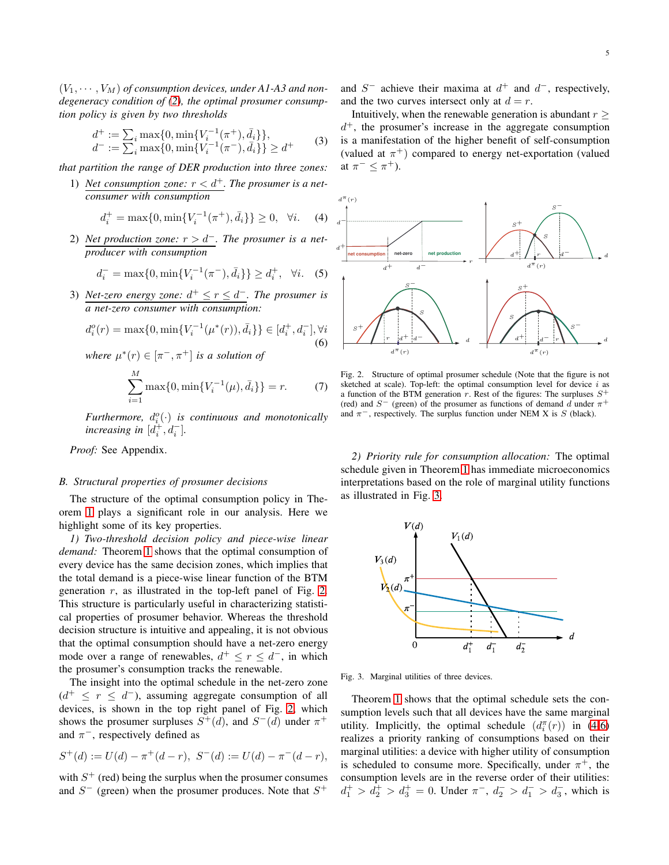$(V_1, \cdots, V_M)$  of consumption devices, under A1-A3 and non*degeneracy condition of [\(2\)](#page-3-2), the optimal prosumer consumption policy is given by two thresholds*

$$
d^{+} := \sum_{i} \max\{0, \min\{V_{i}^{-1}(\pi^{+}), \bar{d}_{i}\}\},
$$
  
\n
$$
d^{-} := \sum_{i} \max\{0, \min\{V_{i}^{-1}(\pi^{-}), \bar{d}_{i}\}\} \ge d^{+}
$$
 (3)

*that partition the range of DER production into three zones:*

1) *Net consumption zone:*  $r < d^+$ *. The prosumer is a netconsumer with consumption*

<span id="page-4-2"></span>
$$
d_i^+ = \max\{0, \min\{V_i^{-1}(\pi^+), \bar{d}_i\}\} \ge 0, \quad \forall i. \tag{4}
$$

2) *Net production zone:* r > d−*. The prosumer is a netproducer with consumption*

<span id="page-4-4"></span>
$$
d_i^- = \max\{0, \min\{V_i^{-1}(\pi^-), \bar{d}_i\}\} \ge d_i^+, \quad \forall i. \quad (5)
$$

3) *Net-zero energy zone:*  $d^+ \le r \le d^-$ . The prosumer is *a net-zero consumer with consumption:*

<span id="page-4-3"></span>
$$
d_i^o(r) = \max\{0, \min\{V_i^{-1}(\mu^*(r)), \bar{d}_i\}\} \in [d_i^+, d_i^-], \forall i
$$
\n(6)

where 
$$
\mu^*(r) \in [\pi^-, \pi^+]
$$
 is a solution of  
\n
$$
\sum_{i=1}^M \max\{0, \min\{V_i^{-1}(\mu), \bar{d}_i\}\} = r.
$$
\n(7)

Furthermore,  $d_i^o(\cdot)$  is continuous and monotonically *increasing in*  $[d_i^+, d_i^-]$ .

*Proof:* See Appendix.

## *B. Structural properties of prosumer decisions*

The structure of the optimal consumption policy in Theorem [1](#page-3-0) plays a significant role in our analysis. Here we highlight some of its key properties.

*1) Two-threshold decision policy and piece-wise linear demand:* Theorem [1](#page-3-0) shows that the optimal consumption of every device has the same decision zones, which implies that the total demand is a piece-wise linear function of the BTM generation  $r$ , as illustrated in the top-left panel of Fig. [2.](#page-4-0) This structure is particularly useful in characterizing statistical properties of prosumer behavior. Whereas the threshold decision structure is intuitive and appealing, it is not obvious that the optimal consumption should have a net-zero energy mode over a range of renewables,  $d^+ \le r \le d^-$ , in which the prosumer's consumption tracks the renewable.

The insight into the optimal schedule in the net-zero zone  $(d^+ \leq r \leq d^-)$ , assuming aggregate consumption of all devices, is shown in the top right panel of Fig. [2,](#page-4-0) which shows the prosumer surpluses  $S^+(d)$ , and  $S^-(d)$  under  $\pi^+$ and  $\pi^-$ , respectively defined as

$$
S^+(d) := U(d) - \pi^+(d - r), \ S^-(d) := U(d) - \pi^-(d - r),
$$

with  $S<sup>+</sup>$  (red) being the surplus when the prosumer consumes and  $S^-$  (green) when the prosumer produces. Note that  $S^+$ 

and  $S^-$  achieve their maxima at  $d^+$  and  $d^-$ , respectively, and the two curves intersect only at  $d = r$ .

Intuitively, when the renewable generation is abundant  $r \geq$  $d^+$ , the prosumer <sup>+</sup>, the prosumer's increase in the aggregate consumption PSfrag replacements PSfrag replacements is a manifestation of the higher benefit of self-consumption (valued at  $\pi^+$ ) compared to energy net-exportation (valued at  $\pi^- \leq \pi^+$ ).  $s^+$ 



<span id="page-4-0"></span>Fig. 2. Structure of optimal prosumer schedule (Note that the figure is not sketched at scale). Top-left: the optimal consumption level for device  $i$  as a function of the BTM generation r. Rest of the figures: The surpluses  $S^+$ (red) and  $S^-$  (green) of the prosumer as functions of demand d under  $\pi^+$ and  $\pi^-$ , respectively. The surplus function under NEM X is S (black).

*2) Priority rule for consumption allocation:* The optimal schedule given in Theorem [1](#page-3-0) has immediate microeconomics interpretations based on the role of marginal utility functions as illustrated in Fig. [3.](#page-4-1)



<span id="page-4-1"></span>Fig. 3. Marginal utilities of three devices.

Theorem [1](#page-3-0) shows that the optimal schedule sets the consumption levels such that all devices have the same marginal utility. Implicitly, the optimal schedule  $(d_i^{\pi}(r))$  in [\(4](#page-4-2)[-6\)](#page-4-3) realizes a priority ranking of consumptions based on their marginal utilities: a device with higher utility of consumption is scheduled to consume more. Specifically, under  $\pi^{+}$ , the consumption levels are in the reverse order of their utilities:  $d_1^+ > d_2^+ > d_3^+ = 0$ . Under  $\pi^-$ ,  $d_2^- > d_1^- > d_3^-$ , which is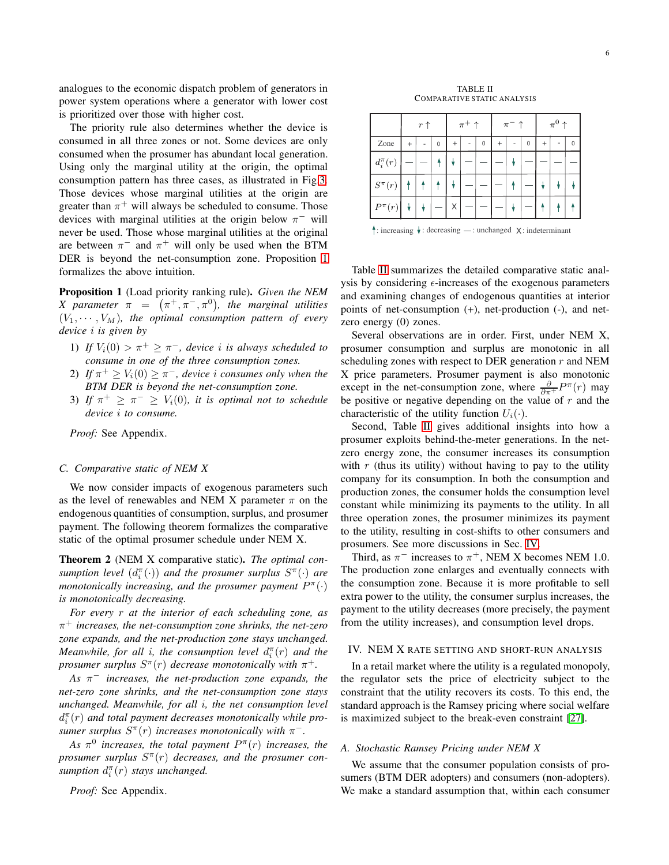analogues to the economic dispatch problem of generators in power system operations where a generator with lower cost is prioritized over those with higher cost.

The priority rule also determines whether the device is consumed in all three zones or not. Some devices are only consumed when the prosumer has abundant local generation. Using only the marginal utility at the origin, the optimal consumption pattern has three cases, as illustrated in Fig[.3.](#page-4-1) Those devices whose marginal utilities at the origin are greater than  $\pi^+$  will always be scheduled to consume. Those devices with marginal utilities at the origin below  $\pi^-$  will never be used. Those whose marginal utilities at the original are between  $\pi^-$  and  $\pi^+$  will only be used when the BTM DER is beyond the net-consumption zone. Proposition [1](#page-5-1) formalizes the above intuition.

<span id="page-5-1"></span>Proposition 1 (Load priority ranking rule). *Given the NEM X* parameter  $\pi = (\pi^+, \pi^-, \pi^0)$ , the marginal utilities  $(V_1, \dots, V_M)$ , the optimal consumption pattern of every *device* i *is given by*

- 1) *If*  $V_i(0) > \pi^+ \geq \pi^-$ , device *i* is always scheduled to *consume in one of the three consumption zones.*
- 2) If  $\pi^+ \geq V_i(0) \geq \pi^-$ , device i consumes only when the *BTM DER is beyond the net-consumption zone.*
- 3) If  $\pi^+ \geq \pi^- \geq V_i(0)$ , it is optimal not to schedule *device* i *to consume.*

*Proof:* See Appendix.

## *C. Comparative static of NEM X*

We now consider impacts of exogenous parameters such as the level of renewables and NEM X parameter  $\pi$  on the endogenous quantities of consumption, surplus, and prosumer payment. The following theorem formalizes the comparative static of the optimal prosumer schedule under NEM X.

<span id="page-5-3"></span>Theorem 2 (NEM X comparative static). *The optimal con* $s$ *umption level*  $(d_i^{\pi}(\cdot))$  *and the prosumer surplus*  $S^{\pi}(\cdot)$  *are monotonically increasing, and the prosumer payment*  $P^{\pi}(\cdot)$ *is monotonically decreasing.*

*For every* r *at the interior of each scheduling zone, as* π <sup>+</sup> *increases, the net-consumption zone shrinks, the net-zero zone expands, and the net-production zone stays unchanged. Meanwhile, for all i, the consumption level*  $d_i^{\pi}(r)$  *and the prosumer surplus*  $S^{\pi}(r)$  *decrease monotonically with*  $\pi^{+}$ *.* 

*As* π <sup>−</sup> *increases, the net-production zone expands, the net-zero zone shrinks, and the net-consumption zone stays unchanged. Meanwhile, for all* i*, the net consumption level*  $d_i^{\pi}(r)$  and total payment decreases monotonically while pro*sumer surplus*  $S^{\pi}(r)$  *increases monotonically with*  $\pi^{-}$ *.* 

As  $\pi^0$  increases, the total payment  $P^{\pi}(r)$  increases, the *prosumer surplus* S π (r) *decreases, and the prosumer con*sumption  $d_i^{\pi}(r)$  stays unchanged.

*Proof:* See Appendix.

TABLE II COMPARATIVE STATIC ANALYSIS

<span id="page-5-2"></span>

|                | $r \uparrow$ |  | $\pi^+$ $\uparrow$ |        |  |          |  |  | $\pi$ PSfrag replacements |   |  |   |
|----------------|--------------|--|--------------------|--------|--|----------|--|--|---------------------------|---|--|---|
| Zone           | $^{+}$       |  | $\Omega$           | $^{+}$ |  | $\Omega$ |  |  | $\Omega$                  | 4 |  | በ |
| $d_i^{\pi}(r)$ |              |  |                    |        |  |          |  |  |                           |   |  |   |
| $S^\pi(r)$     |              |  |                    |        |  |          |  |  |                           |   |  | ¥ |
| $P^{\pi}(r)$   |              |  |                    |        |  |          |  |  |                           |   |  | Ŧ |

: increasing  $\downarrow$ : decreasing —: unchanged X: indeterminant  $p^{\uparrow\uparrow}(r)$ 

Table [II](#page-5-2) summarizes the detailed comparative static analysis by considering  $\epsilon$ -increases of the exogenous parameters and examining changes of endogenous quantities at interior points of net-consumption (+), net-production (-), and netzero energy (0) zones.

Several observations are in order. First, under NEM X, prosumer consumption and surplus are monotonic in all scheduling zones with respect to DER generation  $r$  and NEM X price parameters. Prosumer payment is also monotonic except in the net-consumption zone, where  $\frac{\partial}{\partial \pi^+} P^{\pi}(r)$  may be positive or negative depending on the value of  $r$  and the characteristic of the utility function  $U_i(\cdot)$ .

Second, Table [II](#page-5-2) gives additional insights into how a prosumer exploits behind-the-meter generations. In the netzero energy zone, the consumer increases its consumption with  $r$  (thus its utility) without having to pay to the utility company for its consumption. In both the consumption and production zones, the consumer holds the consumption level constant while minimizing its payments to the utility. In all three operation zones, the prosumer minimizes its payment to the utility, resulting in cost-shifts to other consumers and prosumers. See more discussions in Sec. [IV.](#page-5-0)

Third, as  $\pi^-$  increases to  $\pi^+$ , NEM X becomes NEM 1.0. The production zone enlarges and eventually connects with the consumption zone. Because it is more profitable to sell extra power to the utility, the consumer surplus increases, the payment to the utility decreases (more precisely, the payment from the utility increases), and consumption level drops.

#### <span id="page-5-0"></span>IV. NEM X RATE SETTING AND SHORT-RUN ANALYSIS

In a retail market where the utility is a regulated monopoly, the regulator sets the price of electricity subject to the constraint that the utility recovers its costs. To this end, the standard approach is the Ramsey pricing where social welfare is maximized subject to the break-even constraint [\[27\]](#page-11-0).

#### *A. Stochastic Ramsey Pricing under NEM X*

We assume that the consumer population consists of prosumers (BTM DER adopters) and consumers (non-adopters). We make a standard assumption that, within each consumer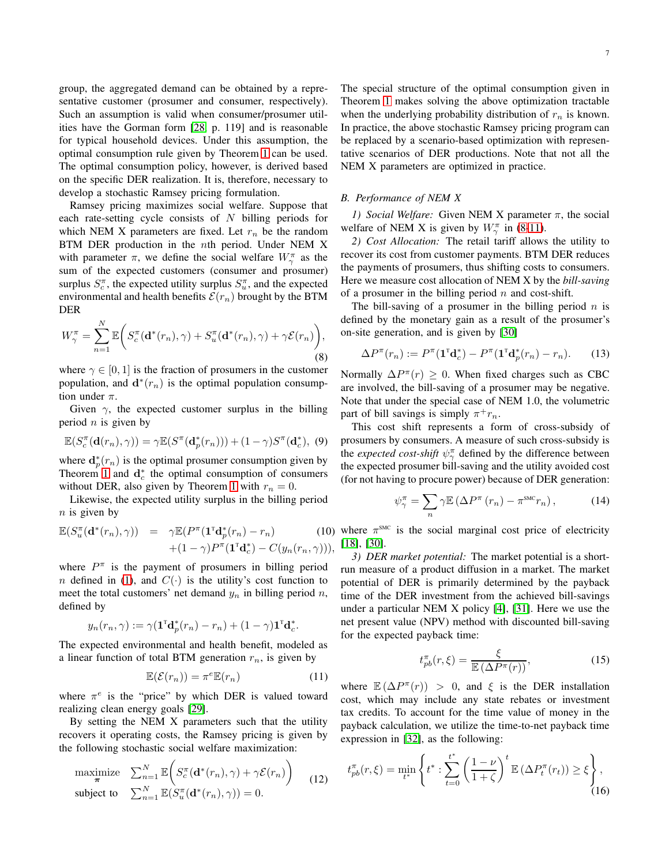group, the aggregated demand can be obtained by a representative customer (prosumer and consumer, respectively). Such an assumption is valid when consumer/prosumer utilities have the Gorman form [\[28,](#page-11-1) p. 119] and is reasonable for typical household devices. Under this assumption, the optimal consumption rule given by Theorem [1](#page-3-0) can be used. The optimal consumption policy, however, is derived based on the specific DER realization. It is, therefore, necessary to develop a stochastic Ramsey pricing formulation.

Ramsey pricing maximizes social welfare. Suppose that each rate-setting cycle consists of  $N$  billing periods for which NEM X parameters are fixed. Let  $r_n$  be the random BTM DER production in the nth period. Under NEM X with parameter  $\pi$ , we define the social welfare  $W_{\gamma}^{\pi}$  as the sum of the expected customers (consumer and prosumer) surplus  $S_c^{\pi}$ , the expected utility surplus  $S_u^{\pi}$ , and the expected environmental and health benefits  $\mathcal{E}(r_n)$  brought by the BTM DER

<span id="page-6-0"></span>
$$
W_{\gamma}^{\pi} = \sum_{n=1}^{N} \mathbb{E}\bigg(S_{c}^{\pi}(\mathbf{d}^*(r_n), \gamma) + S_{u}^{\pi}(\mathbf{d}^*(r_n), \gamma) + \gamma \mathcal{E}(r_n)\bigg),\tag{8}
$$

where  $\gamma \in [0, 1]$  is the fraction of prosumers in the customer population, and  $\mathbf{d}^*(r_n)$  is the optimal population consumption under  $\pi$ .

Given  $\gamma$ , the expected customer surplus in the billing period  $n$  is given by

$$
\mathbb{E}(S_c^{\pi}(\mathbf{d}(r_n), \gamma)) = \gamma \mathbb{E}(S^{\pi}(\mathbf{d}_p^*(r_n))) + (1 - \gamma)S^{\pi}(\mathbf{d}_c^*), (9)
$$

where  $d_p^*(r_n)$  is the optimal prosumer consumption given by Theorem [1](#page-3-0) and  $\mathbf{d}_c^*$  the optimal consumption of consumers without DER, also given by Theorem [1](#page-3-0) with  $r_n = 0$ .

Likewise, the expected utility surplus in the billing period  $n$  is given by

<span id="page-6-3"></span>
$$
\mathbb{E}(S_u^{\pi}(\mathbf{d}^*(r_n), \gamma)) = \gamma \mathbb{E}(P^{\pi}(\mathbf{1}^{\pi} \mathbf{d}_p^*(r_n) - r_n)
$$
(10)  
 
$$
+ (1 - \gamma)P^{\pi}(\mathbf{1}^{\pi} \mathbf{d}_c^*) - C(y_n(r_n, \gamma))),
$$

where  $P^{\pi}$  is the payment of prosumers in billing period *n* defined in [\(1\)](#page-2-1), and  $C(\cdot)$  is the utility's cost function to meet the total customers' net demand  $y_n$  in billing period n, defined by

$$
y_n(r_n, \gamma) := \gamma (\mathbf{1}^{\mathsf{T}} \mathbf{d}_p^*(r_n) - r_n) + (1 - \gamma) \mathbf{1}^{\mathsf{T}} \mathbf{d}_c^*.
$$

The expected environmental and health benefit, modeled as a linear function of total BTM generation  $r_n$ , is given by

<span id="page-6-1"></span>
$$
\mathbb{E}(\mathcal{E}(r_n)) = \pi^e \mathbb{E}(r_n)
$$
 (11)

where  $\pi^e$  is the "price" by which DER is valued toward realizing clean energy goals [\[29\]](#page-11-2).

By setting the NEM X parameters such that the utility recovers it operating costs, the Ramsey pricing is given by the following stochastic social welfare maximization:

<span id="page-6-2"></span>
$$
\begin{array}{ll}\text{maximize} & \sum_{n=1}^{N} \mathbb{E}\bigg(S_c^{\pi}(\mathbf{d}^*(r_n), \gamma) + \gamma \mathcal{E}(r_n)\bigg) \\ \text{subject to} & \sum_{n=1}^{N} \mathbb{E}(S_u^{\pi}(\mathbf{d}^*(r_n), \gamma)) = 0. \end{array} \tag{12}
$$

The special structure of the optimal consumption given in Theorem [1](#page-3-0) makes solving the above optimization tractable when the underlying probability distribution of  $r_n$  is known. In practice, the above stochastic Ramsey pricing program can be replaced by a scenario-based optimization with representative scenarios of DER productions. Note that not all the NEM X parameters are optimized in practice.

#### *B. Performance of NEM X*

*1) Social Welfare:* Given NEM X parameter  $\pi$ , the social welfare of NEM X is given by  $W_{\gamma}^{\pi}$  in [\(8-](#page-6-0)[11\)](#page-6-1).

*2) Cost Allocation:* The retail tariff allows the utility to recover its cost from customer payments. BTM DER reduces the payments of prosumers, thus shifting costs to consumers. Here we measure cost allocation of NEM X by the *bill-saving* of a prosumer in the billing period  $n$  and cost-shift.

The bill-saving of a prosumer in the billing period  $n$  is defined by the monetary gain as a result of the prosumer's on-site generation, and is given by [\[30\]](#page-11-3)

$$
\Delta P^{\pi}(r_n) := P^{\pi}(\mathbf{1}^{\mathsf{T}} \mathbf{d}_c^*) - P^{\pi}(\mathbf{1}^{\mathsf{T}} \mathbf{d}_p^*(r_n) - r_n). \tag{13}
$$

Normally  $\Delta P^{\pi}(r) \geq 0$ . When fixed charges such as CBC are involved, the bill-saving of a prosumer may be negative. Note that under the special case of NEM 1.0, the volumetric part of bill savings is simply  $\pi^+ r_n$ .

This cost shift represents a form of cross-subsidy of prosumers by consumers. A measure of such cross-subsidy is the *expected cost-shift*  $\psi_{\gamma}^{\pi}$  defined by the difference between the expected prosumer bill-saving and the utility avoided cost (for not having to procure power) because of DER generation:

$$
\psi_{\gamma}^{\pi} = \sum_{n} \gamma \mathbb{E} \left( \Delta P^{\pi} \left( r_{n} \right) - \pi^{\text{smc}} r_{n} \right), \tag{14}
$$

where  $\pi^{\text{smc}}$  is the social marginal cost price of electricity [\[18\]](#page-10-15), [\[30\]](#page-11-3).

*3) DER market potential:* The market potential is a shortrun measure of a product diffusion in a market. The market potential of DER is primarily determined by the payback time of the DER investment from the achieved bill-savings under a particular NEM X policy [\[4\]](#page-10-2), [\[31\]](#page-11-4). Here we use the net present value (NPV) method with discounted bill-saving for the expected payback time:

$$
t_{pb}^{\pi}(r,\xi) = \frac{\xi}{\mathbb{E}\left(\Delta P^{\pi}(r)\right)},\tag{15}
$$

where  $\mathbb{E}(\Delta P^{\pi}(r)) > 0$ , and  $\xi$  is the DER installation cost, which may include any state rebates or investment tax credits. To account for the time value of money in the payback calculation, we utilize the time-to-net payback time expression in [\[32\]](#page-11-5), as the following:

<span id="page-6-4"></span>
$$
t_{pb}^{\pi}(r,\xi) = \min_{t^*} \left\{ t^* : \sum_{t=0}^{t^*} \left( \frac{1-\nu}{1+\zeta} \right)^t \mathbb{E} \left( \Delta P_t^{\pi}(r_t) \right) \ge \xi \right\},\tag{16}
$$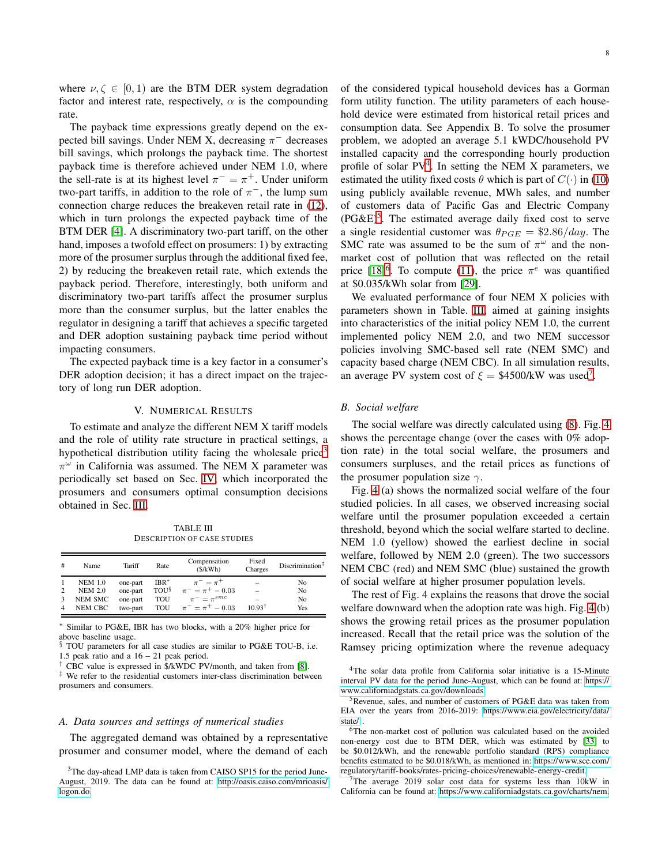where  $\nu, \zeta \in [0, 1)$  are the BTM DER system degradation factor and interest rate, respectively,  $\alpha$  is the compounding rate.

The payback time expressions greatly depend on the expected bill savings. Under NEM X, decreasing  $\pi^-$  decreases bill savings, which prolongs the payback time. The shortest payback time is therefore achieved under NEM 1.0, where the sell-rate is at its highest level  $\pi^- = \pi^+$ . Under uniform two-part tariffs, in addition to the role of  $\pi^-$ , the lump sum connection charge reduces the breakeven retail rate in [\(12\)](#page-6-2), which in turn prolongs the expected payback time of the BTM DER [\[4\]](#page-10-2). A discriminatory two-part tariff, on the other hand, imposes a twofold effect on prosumers: 1) by extracting more of the prosumer surplus through the additional fixed fee, 2) by reducing the breakeven retail rate, which extends the payback period. Therefore, interestingly, both uniform and discriminatory two-part tariffs affect the prosumer surplus more than the consumer surplus, but the latter enables the regulator in designing a tariff that achieves a specific targeted and DER adoption sustaining payback time period without impacting consumers.

The expected payback time is a key factor in a consumer's DER adoption decision; it has a direct impact on the trajectory of long run DER adoption.

## V. NUMERICAL RESULTS

<span id="page-7-0"></span>To estimate and analyze the different NEM X tariff models and the role of utility rate structure in practical settings, a hypothetical distribution utility facing the wholesale price<sup>[3](#page-7-1)</sup>  $\pi^{\omega}$  in California was assumed. The NEM X parameter was periodically set based on Sec. [IV,](#page-5-0) which incorporated the prosumers and consumers optimal consumption decisions obtained in Sec. [III.](#page-3-3)

TABLE III DESCRIPTION OF CASE STUDIES

<span id="page-7-5"></span>

| #              | Name           | Tariff   | Rate        | Compensation<br>(S/kWh) | Fixed<br>Charges         | Discription <sup>‡</sup> |
|----------------|----------------|----------|-------------|-------------------------|--------------------------|--------------------------|
|                | <b>NEM 1.0</b> | one-part | $IBR^*$     | $\pi^{-} = \pi^{+}$     | $\overline{\phantom{0}}$ | No                       |
| $\overline{c}$ | <b>NEM 2.0</b> | one-part | <b>TOUS</b> | $\pi^- = \pi^+ - 0.03$  | $\overline{\phantom{a}}$ | No                       |
| 3              | NEM SMC        | one-part | TOU         | $\pi^- = \pi^{smc}$     | $\overline{\phantom{a}}$ | No                       |
| $\overline{4}$ | NEM CBC        | two-part | TOU         | $\pi^- = \pi^+ - 0.03$  | $10.93^{\dagger}$        | Yes                      |

<sup>∗</sup> Similar to PG&E, IBR has two blocks, with a 20% higher price for above baseline usage.

TOU parameters for all case studies are similar to PG&E TOU-B, i.e. 1.5 peak ratio and a 16 – 21 peak period.

† CBC value is expressed in \$/kWDC PV/month, and taken from [\[8\]](#page-10-6).

‡ We refer to the residential customers inter-class discrimination between prosumers and consumers.

## *A. Data sources and settings of numerical studies*

The aggregated demand was obtained by a representative prosumer and consumer model, where the demand of each

of the considered typical household devices has a Gorman form utility function. The utility parameters of each household device were estimated from historical retail prices and consumption data. See Appendix B. To solve the prosumer problem, we adopted an average 5.1 kWDC/household PV installed capacity and the corresponding hourly production profile of solar  $PV^4$  $PV^4$ . In setting the NEM X parameters, we estimated the utility fixed costs  $\theta$  which is part of  $C(\cdot)$  in [\(10\)](#page-6-3) using publicly available revenue, MWh sales, and number of customers data of Pacific Gas and Electric Company  $(PG\&E)^5$  $(PG\&E)^5$ . The estimated average daily fixed cost to serve a single residential customer was  $\theta_{PGE} = $2.86/day$ . The SMC rate was assumed to be the sum of  $\pi^{\omega}$  and the nonmarket cost of pollution that was reflected on the retail price  $[18]^{6}$  $[18]^{6}$  $[18]^{6}$  $[18]^{6}$ . To compute [\(11\)](#page-6-1), the price  $\pi^{e}$  was quantified at \$0.035/kWh solar from [\[29\]](#page-11-2).

We evaluated performance of four NEM X policies with parameters shown in Table. [III,](#page-7-5) aimed at gaining insights into characteristics of the initial policy NEM 1.0, the current implemented policy NEM 2.0, and two NEM successor policies involving SMC-based sell rate (NEM SMC) and capacity based charge (NEM CBC). In all simulation results, an average PV system cost of  $\xi = $4500/kW$  was used<sup>[7](#page-7-6)</sup>.

## *B. Social welfare*

The social welfare was directly calculated using [\(8\)](#page-6-0). Fig. [4](#page-8-0) shows the percentage change (over the cases with 0% adoption rate) in the total social welfare, the prosumers and consumers surpluses, and the retail prices as functions of the prosumer population size  $\gamma$ .

Fig. [4](#page-8-0) (a) shows the normalized social welfare of the four studied policies. In all cases, we observed increasing social welfare until the prosumer population exceeded a certain threshold, beyond which the social welfare started to decline. NEM 1.0 (yellow) showed the earliest decline in social welfare, followed by NEM 2.0 (green). The two successors NEM CBC (red) and NEM SMC (blue) sustained the growth of social welfare at higher prosumer population levels.

The rest of Fig. 4 explains the reasons that drove the social welfare downward when the adoption rate was high. Fig. [4](#page-8-0) (b) shows the growing retail prices as the prosumer population increased. Recall that the retail price was the solution of the Ramsey pricing optimization where the revenue adequacy

<span id="page-7-2"></span><sup>4</sup>The solar data profile from California solar initiative is a 15-Minute interval PV data for the period June-August, which can be found at: [https://](https://www.californiadgstats.ca.gov/downloads) [www.californiadgstats.ca.gov/downloads.](https://www.californiadgstats.ca.gov/downloads)

<span id="page-7-3"></span><sup>5</sup>Revenue, sales, and number of customers of PG&E data was taken from EIA over the years from 2016-2019: [https://www.eia.gov/electricity/data/](https://www.eia.gov/electricity/data/state/) [state/](https://www.eia.gov/electricity/data/state/) .

<span id="page-7-4"></span><sup>6</sup>The non-market cost of pollution was calculated based on the avoided non-energy cost due to BTM DER, which was estimated by [\[33\]](#page-11-6) to be \$0.012/kWh, and the renewable portfolio standard (RPS) compliance benefits estimated to be \$0.018/kWh, as mentioned in: [https://www.sce.com/](https://www.sce.com/regulatory/tariff-books/rates-pricing-choices/renewable-energy-credit) [regulatory/tariff- books/rates-pricing-choices/renewable- energy-credit.](https://www.sce.com/regulatory/tariff-books/rates-pricing-choices/renewable-energy-credit)

<span id="page-7-6"></span><sup>7</sup>The average 2019 solar cost data for systems less than 10kW in California can be found at: [https://www.californiadgstats.ca.gov/charts/nem.](https://www.californiadgstats.ca.gov/charts/nem)

<span id="page-7-1"></span><sup>&</sup>lt;sup>3</sup>The day-ahead LMP data is taken from CAISO SP15 for the period June-August, 2019. The data can be found at: [http://oasis.caiso.com/mrioasis/](http://oasis.caiso.com/mrioasis/logon.do) [logon.do.](http://oasis.caiso.com/mrioasis/logon.do)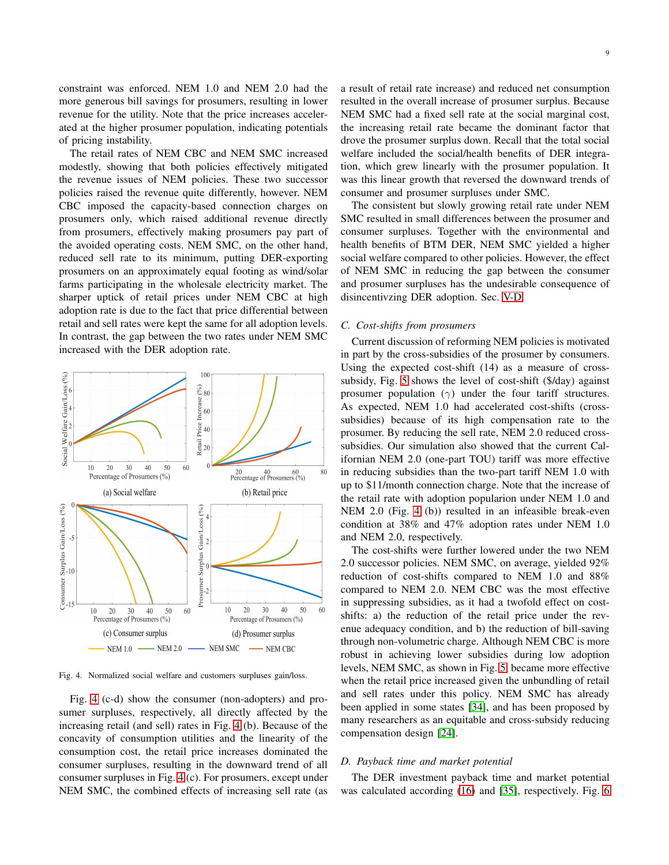constraint was enforced. NEM 1.0 and NEM 2.0 had the more generous bill savings for prosumers, resulting in lower revenue for the utility. Note that the price increases accelerated at the higher prosumer population, indicating potentials of pricing instability.

The retail rates of NEM CBC and NEM SMC increased modestly, showing that both policies effectively mitigated the revenue issues of NEM policies. These two successor policies raised the revenue quite differently, however. NEM CBC imposed the capacity-based connection charges on prosumers only, which raised additional revenue directly from prosumers, effectively making prosumers pay part of the avoided operating costs. NEM SMC, on the other hand, reduced sell rate to its minimum, putting DER-exporting prosumers on an approximately equal footing as wind/solar farms participating in the wholesale electricity market. The sharper uptick of retail prices under NEM CBC at high adoption rate is due to the fact that price differential between retail and sell rates were kept the same for all adoption levels. In contrast, the gap between the two rates under NEM SMC increased with the DER adoption rate.



<span id="page-8-0"></span>Fig. 4. Normalized social welfare and customers surpluses gain/loss.

Fig. [4](#page-8-0) (c-d) show the consumer (non-adopters) and prosumer surpluses, respectively, all directly affected by the increasing retail (and sell) rates in Fig. [4](#page-8-0) (b). Because of the concavity of consumption utilities and the linearity of the consumption cost, the retail price increases dominated the consumer surpluses, resulting in the downward trend of all consumer surpluses in Fig. [4](#page-8-0) (c). For prosumers, except under NEM SMC, the combined effects of increasing sell rate (as a result of retail rate increase) and reduced net consumption resulted in the overall increase of prosumer surplus. Because NEM SMC had a fixed sell rate at the social marginal cost, the increasing retail rate became the dominant factor that drove the prosumer surplus down. Recall that the total social welfare included the social/health benefits of DER integration, which grew linearly with the prosumer population. It was this linear growth that reversed the downward trends of consumer and prosumer surpluses under SMC.

The consistent but slowly growing retail rate under NEM SMC resulted in small differences between the prosumer and consumer surpluses. Together with the environmental and health benefits of BTM DER, NEM SMC yielded a higher social welfare compared to other policies. However, the effect of NEM SMC in reducing the gap between the consumer and prosumer surpluses has the undesirable consequence of disincentivzing DER adoption. Sec. [V-D.](#page-8-1)

#### *C. Cost-shifts from prosumers*

Current discussion of reforming NEM policies is motivated in part by the cross-subsidies of the prosumer by consumers. Using the expected cost-shift (14) as a measure of crosssubsidy, Fig. [5](#page-9-1) shows the level of cost-shift (\$/day) against prosumer population  $(\gamma)$  under the four tariff structures. As expected, NEM 1.0 had accelerated cost-shifts (crosssubsidies) because of its high compensation rate to the prosumer. By reducing the sell rate, NEM 2.0 reduced crosssubsidies. Our simulation also showed that the current Californian NEM 2.0 (one-part TOU) tariff was more effective in reducing subsidies than the two-part tariff NEM 1.0 with up to \$11/month connection charge. Note that the increase of the retail rate with adoption popularion under NEM 1.0 and NEM 2.0 (Fig. [4](#page-8-0) (b)) resulted in an infeasible break-even condition at 38% and 47% adoption rates under NEM 1.0 and NEM 2.0, respectively.

The cost-shifts were further lowered under the two NEM 2.0 successor policies. NEM SMC, on average, yielded 92% reduction of cost-shifts compared to NEM 1.0 and 88% compared to NEM 2.0. NEM CBC was the most effective in suppressing subsidies, as it had a twofold effect on costshifts: a) the reduction of the retail price under the revenue adequacy condition, and b) the reduction of bill-saving through non-volumetric charge. Although NEM CBC is more robust in achieving lower subsidies during low adoption levels, NEM SMC, as shown in Fig. [5,](#page-9-1) became more effective when the retail price increased given the unbundling of retail and sell rates under this policy. NEM SMC has already been applied in some states [\[34\]](#page-11-7), and has been proposed by many researchers as an equitable and cross-subsidy reducing compensation design [\[24\]](#page-10-22).

## <span id="page-8-1"></span>*D. Payback time and market potential*

The DER investment payback time and market potential was calculated according [\(16\)](#page-6-4) and [\[35\]](#page-11-8), respectively. Fig. [6](#page-9-2)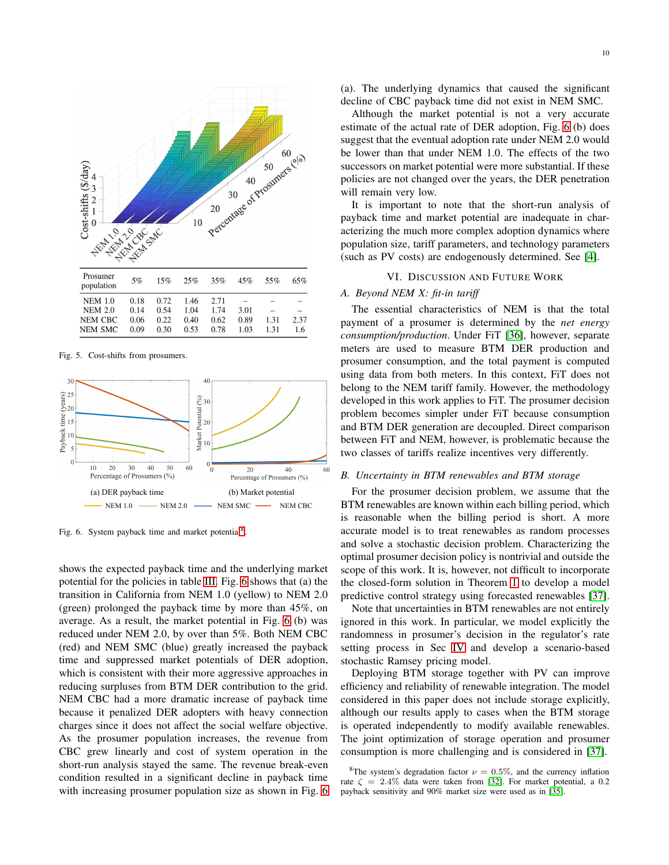

<span id="page-9-1"></span>Fig. 5. Cost-shifts from prosumers.



<span id="page-9-2"></span>Fig. 6. System payback time and market potential<sup>[8](#page-9-3)</sup>.

shows the expected payback time and the underlying market potential for the policies in table [III.](#page-7-5) Fig. [6](#page-9-2) shows that (a) the transition in California from NEM 1.0 (yellow) to NEM 2.0 (green) prolonged the payback time by more than 45%, on average. As a result, the market potential in Fig. [6](#page-9-2) (b) was reduced under NEM 2.0, by over than 5%. Both NEM CBC (red) and NEM SMC (blue) greatly increased the payback time and suppressed market potentials of DER adoption, which is consistent with their more aggressive approaches in reducing surpluses from BTM DER contribution to the grid. NEM CBC had a more dramatic increase of payback time because it penalized DER adopters with heavy connection charges since it does not affect the social welfare objective. As the prosumer population increases, the revenue from CBC grew linearly and cost of system operation in the short-run analysis stayed the same. The revenue break-even condition resulted in a significant decline in payback time with increasing prosumer population size as shown in Fig. [6](#page-9-2) (a). The underlying dynamics that caused the significant decline of CBC payback time did not exist in NEM SMC.

Although the market potential is not a very accurate estimate of the actual rate of DER adoption, Fig. [6](#page-9-2) (b) does suggest that the eventual adoption rate under NEM 2.0 would be lower than that under NEM 1.0. The effects of the two successors on market potential were more substantial. If these policies are not changed over the years, the DER penetration will remain very low.

It is important to note that the short-run analysis of payback time and market potential are inadequate in characterizing the much more complex adoption dynamics where population size, tariff parameters, and technology parameters (such as PV costs) are endogenously determined. See [\[4\]](#page-10-2).

## VI. DISCUSSION AND FUTURE WORK

## <span id="page-9-0"></span>*A. Beyond NEM X: fit-in tariff*

The essential characteristics of NEM is that the total payment of a prosumer is determined by the *net energy consumption/production*. Under FiT [\[36\]](#page-11-9), however, separate meters are used to measure BTM DER production and prosumer consumption, and the total payment is computed using data from both meters. In this context, FiT does not belong to the NEM tariff family. However, the methodology developed in this work applies to FiT. The prosumer decision problem becomes simpler under FiT because consumption and BTM DER generation are decoupled. Direct comparison between FiT and NEM, however, is problematic because the two classes of tariffs realize incentives very differently.

## *B. Uncertainty in BTM renewables and BTM storage*

For the prosumer decision problem, we assume that the BTM renewables are known within each billing period, which is reasonable when the billing period is short. A more accurate model is to treat renewables as random processes and solve a stochastic decision problem. Characterizing the optimal prosumer decision policy is nontrivial and outside the scope of this work. It is, however, not difficult to incorporate the closed-form solution in Theorem [1](#page-3-0) to develop a model predictive control strategy using forecasted renewables [\[37\]](#page-11-10).

Note that uncertainties in BTM renewables are not entirely ignored in this work. In particular, we model explicitly the randomness in prosumer's decision in the regulator's rate setting process in Sec [IV](#page-5-0) and develop a scenario-based stochastic Ramsey pricing model.

Deploying BTM storage together with PV can improve efficiency and reliability of renewable integration. The model considered in this paper does not include storage explicitly, although our results apply to cases when the BTM storage is operated independently to modify available renewables. The joint optimization of storage operation and prosumer consumption is more challenging and is considered in [\[37\]](#page-11-10).

<span id="page-9-3"></span><sup>&</sup>lt;sup>8</sup>The system's degradation factor  $\nu = 0.5\%$ , and the currency inflation rate  $\zeta = 2.4\%$  data were taken from [\[32\]](#page-11-5). For market potential, a 0.2 payback sensitivity and 90% market size were used as in [\[35\]](#page-11-8).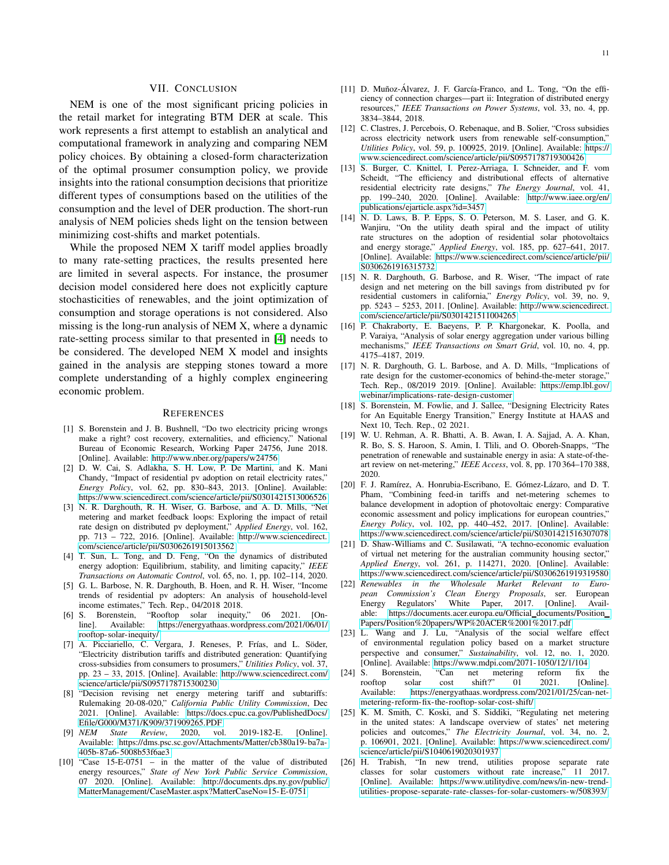## VII. CONCLUSION

NEM is one of the most significant pricing policies in the retail market for integrating BTM DER at scale. This work represents a first attempt to establish an analytical and computational framework in analyzing and comparing NEM policy choices. By obtaining a closed-form characterization of the optimal prosumer consumption policy, we provide insights into the rational consumption decisions that prioritize different types of consumptions based on the utilities of the consumption and the level of DER production. The short-run analysis of NEM policies sheds light on the tension between minimizing cost-shifts and market potentials.

While the proposed NEM X tariff model applies broadly to many rate-setting practices, the results presented here are limited in several aspects. For instance, the prosumer decision model considered here does not explicitly capture stochasticities of renewables, and the joint optimization of consumption and storage operations is not considered. Also missing is the long-run analysis of NEM X, where a dynamic rate-setting process similar to that presented in [\[4\]](#page-10-2) needs to be considered. The developed NEM X model and insights gained in the analysis are stepping stones toward a more complete understanding of a highly complex engineering economic problem.

## **REFERENCES**

- <span id="page-10-0"></span>[1] S. Borenstein and J. B. Bushnell, "Do two electricity pricing wrongs make a right? cost recovery, externalities, and efficiency," National Bureau of Economic Research, Working Paper 24756, June 2018. [Online]. Available:<http://www.nber.org/papers/w24756>
- <span id="page-10-1"></span>[2] D. W. Cai, S. Adlakha, S. H. Low, P. De Martini, and K. Mani Chandy, "Impact of residential pv adoption on retail electricity rates," *Energy Policy*, vol. 62, pp. 830–843, 2013. [Online]. Available: <https://www.sciencedirect.com/science/article/pii/S0301421513006526>
- <span id="page-10-20"></span>[3] N. R. Darghouth, R. H. Wiser, G. Barbose, and A. D. Mills, "Net metering and market feedback loops: Exploring the impact of retail rate design on distributed pv deployment," *Applied Energy*, vol. 162, pp. 713 – 722, 2016. [Online]. Available: [http://www.sciencedirect.](http://www.sciencedirect.com/science/article/pii/S0306261915013562) [com/science/article/pii/S0306261915013562](http://www.sciencedirect.com/science/article/pii/S0306261915013562)
- <span id="page-10-2"></span>[4] T. Sun, L. Tong, and D. Feng, "On the dynamics of distributed energy adoption: Equilibrium, stability, and limiting capacity," *IEEE Transactions on Automatic Control*, vol. 65, no. 1, pp. 102–114, 2020.
- <span id="page-10-3"></span>[5] G. L. Barbose, N. R. Darghouth, B. Hoen, and R. H. Wiser, "Income trends of residential pv adopters: An analysis of household-level income estimates," Tech. Rep., 04/2018 2018.
- <span id="page-10-4"></span>[6] S. Borenstein, "Rooftop solar inequity," 06 2021. [Online]. Available: [https://energyathaas.wordpress.com/2021/06/01/](https://energyathaas.wordpress.com/2021/06/01/rooftop-solar-inequity/) [rooftop-solar-inequity/](https://energyathaas.wordpress.com/2021/06/01/rooftop-solar-inequity/)
- <span id="page-10-5"></span>[7] A. Picciariello, C. Vergara, J. Reneses, P. Frías, and L. Söder, "Electricity distribution tariffs and distributed generation: Quantifying cross-subsidies from consumers to prosumers," *Utilities Policy*, vol. 37, pp. 23 – 33, 2015. [Online]. Available: [http://www.sciencedirect.com/](http://www.sciencedirect.com/science/article/pii/S0957178715300230) [science/article/pii/S0957178715300230](http://www.sciencedirect.com/science/article/pii/S0957178715300230)
- <span id="page-10-6"></span>[8] "Decision revising net energy metering tariff and subtariffs: Rulemaking 20-08-020," *California Public Utility Commission*, Dec 2021. [Online]. Available: [https://docs.cpuc.ca.gov/PublishedDocs/](https://docs.cpuc.ca.gov/PublishedDocs/Efile/G000/M371/K909/371909265.PDF) [Efile/G000/M371/K909/371909265.PDF](https://docs.cpuc.ca.gov/PublishedDocs/Efile/G000/M371/K909/371909265.PDF)<br>[9] *NEM* State Review, 2020, vol
- <span id="page-10-7"></span>State Review, 2020, vol. 2019-182-E. [Online]. Available: [https://dms.psc.sc.gov/Attachments/Matter/cb380a19- ba7a-](https://dms.psc.sc.gov/Attachments/Matter/cb380a19-ba7a-405b-87a6-5008b53f6ae3)[405b-87a6-5008b53f6ae3](https://dms.psc.sc.gov/Attachments/Matter/cb380a19-ba7a-405b-87a6-5008b53f6ae3)
- <span id="page-10-8"></span>[10] "Case 15-E-0751 – in the matter of the value of distributed energy resources," *State of New York Public Service Commission*, 07 2020. [Online]. Available: [http://documents.dps.ny.gov/public/](http://documents.dps.ny.gov/public/MatterManagement/CaseMaster.aspx?MatterCaseNo=15-E-0751) [MatterManagement/CaseMaster.aspx?MatterCaseNo=15- E-0751](http://documents.dps.ny.gov/public/MatterManagement/CaseMaster.aspx?MatterCaseNo=15-E-0751)
- <span id="page-10-9"></span>[11] D. Muñoz-Álvarez, J. F. García-Franco, and L. Tong, "On the efficiency of connection charges—part ii: Integration of distributed energy resources," *IEEE Transactions on Power Systems*, vol. 33, no. 4, pp. 3834–3844, 2018.
- [12] C. Clastres, J. Percebois, O. Rebenaque, and B. Solier, "Cross subsidies across electricity network users from renewable self-consumption,' *Utilities Policy*, vol. 59, p. 100925, 2019. [Online]. Available: [https://](https://www.sciencedirect.com/science/article/pii/S0957178719300426) [www.sciencedirect.com/science/article/pii/S0957178719300426](https://www.sciencedirect.com/science/article/pii/S0957178719300426)
- <span id="page-10-10"></span>[13] S. Burger, C. Knittel, I. Perez-Arriaga, I. Schneider, and F. vom Scheidt, "The efficiency and distributional effects of alternative residential electricity rate designs," *The Energy Journal*, vol. 41, pp. 199–240, 2020. [Online]. Available: [http://www.iaee.org/en/](http://www.iaee.org/en/publications/ejarticle.aspx?id=3457) [publications/ejarticle.aspx?id=3457](http://www.iaee.org/en/publications/ejarticle.aspx?id=3457)
- <span id="page-10-11"></span>[14] N. D. Laws, B. P. Epps, S. O. Peterson, M. S. Laser, and G. K. Wanjiru, "On the utility death spiral and the impact of utility rate structures on the adoption of residential solar photovoltaics and energy storage," *Applied Energy*, vol. 185, pp. 627–641, 2017. [Online]. Available: [https://www.sciencedirect.com/science/article/pii/](https://www.sciencedirect.com/science/article/pii/S0306261916315732) [S0306261916315732](https://www.sciencedirect.com/science/article/pii/S0306261916315732)
- <span id="page-10-12"></span>[15] N. R. Darghouth, G. Barbose, and R. Wiser, "The impact of rate design and net metering on the bill savings from distributed pv for residential customers in california," *Energy Policy*, vol. 39, no. 9, pp. 5243 – 5253, 2011. [Online]. Available: [http://www.sciencedirect.](http://www.sciencedirect.com/science/article/pii/S0301421511004265) [com/science/article/pii/S0301421511004265](http://www.sciencedirect.com/science/article/pii/S0301421511004265)
- <span id="page-10-13"></span>[16] P. Chakraborty, E. Baeyens, P. P. Khargonekar, K. Poolla, and P. Varaiya, "Analysis of solar energy aggregation under various billing mechanisms," *IEEE Transactions on Smart Grid*, vol. 10, no. 4, pp. 4175–4187, 2019.
- <span id="page-10-14"></span>[17] N. R. Darghouth, G. L. Barbose, and A. D. Mills, "Implications of rate design for the customer-economics of behind-the-meter storage," Tech. Rep., 08/2019 2019. [Online]. Available: [https://emp.lbl.gov/](https://emp.lbl.gov/webinar/implications-rate-design-customer) [webinar/implications- rate-design-customer](https://emp.lbl.gov/webinar/implications-rate-design-customer)
- <span id="page-10-15"></span>[18] S. Borenstein, M. Fowlie, and J. Sallee, "Designing Electricity Rates for An Equitable Energy Transition," Energy Institute at HAAS and Next 10, Tech. Rep., 02 2021.
- <span id="page-10-16"></span>[19] W. U. Rehman, A. R. Bhatti, A. B. Awan, I. A. Sajjad, A. A. Khan, R. Bo, S. S. Haroon, S. Amin, I. Tlili, and O. Oboreh-Snapps, "The penetration of renewable and sustainable energy in asia: A state-of-theart review on net-metering," *IEEE Access*, vol. 8, pp. 170 364–170 388, 2020.
- <span id="page-10-18"></span>[20] F. J. Ramírez, A. Honrubia-Escribano, E. Gómez-Lázaro, and D. T. Pham, "Combining feed-in tariffs and net-metering schemes to balance development in adoption of photovoltaic energy: Comparative economic assessment and policy implications for european countries," *Energy Policy*, vol. 102, pp. 440–452, 2017. [Online]. Available: <https://www.sciencedirect.com/science/article/pii/S0301421516307078>
- <span id="page-10-17"></span>[21] D. Shaw-Williams and C. Susilawati, "A techno-economic evaluation of virtual net metering for the australian community housing sector," *Applied Energy*, vol. 261, p. 114271, 2020. [Online]. Available: <https://www.sciencedirect.com/science/article/pii/S0306261919319580>
- <span id="page-10-19"></span>[22] *Renewables in the Wholesale Market Relevant to European Commission's Clean Energy Proposals*, ser. European Energy Regulators' White Paper, 2017. [Online]. Available: [https://documents.acer.europa.eu/Official](https://documents.acer.europa.eu/Official_documents/Position_Papers/Position%20papers/WP%20ACER%2001%2017.pdf)\_documents/Position\_ [Papers/Position%20papers/WP%20ACER%2001%2017.pdf](https://documents.acer.europa.eu/Official_documents/Position_Papers/Position%20papers/WP%20ACER%2001%2017.pdf)
- <span id="page-10-21"></span>[23] L. Wang and J. Lu, "Analysis of the social welfare effect of environmental regulation policy based on a market structure perspective and consumer," *Sustainability*, vol. 12, no. 1, 2020. [Online]. Available:<https://www.mdpi.com/2071-1050/12/1/104>
- <span id="page-10-22"></span>[24] S. Borenstein, "Can net metering reform fix the solar cost shift?" 01 2021. [Online]. Available: [https://energyathaas.wordpress.com/2021/01/25/can-net](https://energyathaas.wordpress.com/2021/01/25/can-net-metering-reform-fix-the-rooftop-solar-cost-shift/)[metering- reform-fix-the-rooftop-solar-cost-shift/](https://energyathaas.wordpress.com/2021/01/25/can-net-metering-reform-fix-the-rooftop-solar-cost-shift/)
- <span id="page-10-23"></span>[25] K. M. Smith, C. Koski, and S. Siddiki, "Regulating net metering in the united states: A landscape overview of states' net metering policies and outcomes," *The Electricity Journal*, vol. 34, no. 2, p. 106901, 2021. [Online]. Available: [https://www.sciencedirect.com/](https://www.sciencedirect.com/science/article/pii/S1040619020301937) [science/article/pii/S1040619020301937](https://www.sciencedirect.com/science/article/pii/S1040619020301937)
- <span id="page-10-24"></span>[26] H. Trabish, "In new trend, utilities propose separate rate classes for solar customers without rate increase," 11 2017. [Online]. Available: [https://www.utilitydive.com/news/in-new-trend](https://www.utilitydive.com/news/in-new-trend-utilities-propose-separate-rate-classes-for-solar-customers-w/508393/)[utilities- propose-separate- rate-classes-for-solar-customers-w/508393/](https://www.utilitydive.com/news/in-new-trend-utilities-propose-separate-rate-classes-for-solar-customers-w/508393/)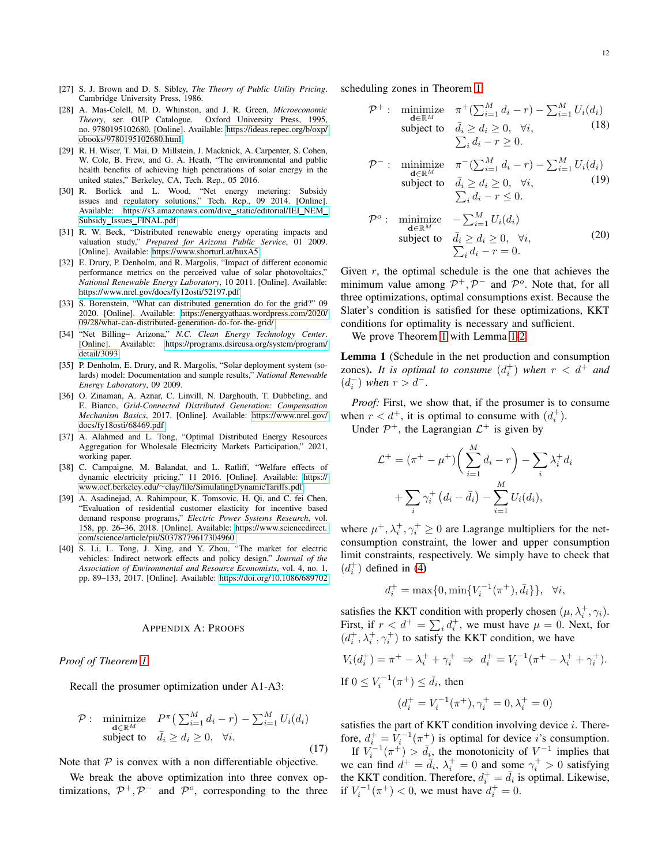- <span id="page-11-0"></span>[27] S. J. Brown and D. S. Sibley, *The Theory of Public Utility Pricing*. Cambridge University Press, 1986.
- <span id="page-11-1"></span>[28] A. Mas-Colell, M. D. Whinston, and J. R. Green, *Microeconomic Theory*, ser. OUP Catalogue. Oxford University Press, 1995, no. 9780195102680. [Online]. Available: [https://ideas.repec.org/b/oxp/](https://ideas.repec.org/b/oxp/obooks/9780195102680.html) [obooks/9780195102680.html](https://ideas.repec.org/b/oxp/obooks/9780195102680.html)
- <span id="page-11-2"></span>[29] R. H. Wiser, T. Mai, D. Millstein, J. Macknick, A. Carpenter, S. Cohen, W. Cole, B. Frew, and G. A. Heath, "The environmental and public health benefits of achieving high penetrations of solar energy in the united states," Berkeley, CA, Tech. Rep., 05 2016.
- <span id="page-11-3"></span>[30] R. Borlick and L. Wood, "Net energy metering: Subsidy issues and regulatory solutions," Tech. Rep., 09 2014. [Online]. Available: [https://s3.amazonaws.com/dive](https://s3.amazonaws.com/dive_static/editorial/IEI_NEM_Subsidy_Issues_FINAL.pdf)\_static/editorial/IEI\_NEM\_ Subsidy Issues [FINAL.pdf](https://s3.amazonaws.com/dive_static/editorial/IEI_NEM_Subsidy_Issues_FINAL.pdf)
- <span id="page-11-4"></span>[31] R. W. Beck, "Distributed renewable energy operating impacts and valuation study," *Prepared for Arizona Public Service*, 01 2009. [Online]. Available:<https://www.shorturl.at/huxA5>
- <span id="page-11-5"></span>[32] E. Drury, P. Denholm, and R. Margolis, "Impact of different economic performance metrics on the perceived value of solar photovoltaics," *National Renewable Energy Laboratory*, 10 2011. [Online]. Available: <https://www.nrel.gov/docs/fy12osti/52197.pdf>
- <span id="page-11-6"></span>[33] S. Borenstein, "What can distributed generation do for the grid?" 09 2020. [Online]. Available: [https://energyathaas.wordpress.com/2020/](https://energyathaas.wordpress.com/2020/09/28/what-can-distributed-generation-do-for-the-grid/) [09/28/what-can-distributed- generation- do-for-the-grid/](https://energyathaas.wordpress.com/2020/09/28/what-can-distributed-generation-do-for-the-grid/)
- <span id="page-11-7"></span>[34] "Net Billing– Arizona," *N.C. Clean Energy Technology Center*. [Online]. Available: [https://programs.dsireusa.org/system/program/](https://programs.dsireusa.org/system/program/detail/3093) [detail/3093](https://programs.dsireusa.org/system/program/detail/3093)
- <span id="page-11-8"></span>[35] P. Denholm, E. Drury, and R. Margolis, "Solar deployment system (solards) model: Documentation and sample results," *National Renewable Energy Laboratory*, 09 2009.
- <span id="page-11-9"></span>[36] O. Zinaman, A. Aznar, C. Linvill, N. Darghouth, T. Dubbeling, and E. Bianco, *Grid-Connected Distributed Generation: Compensation Mechanism Basics*, 2017. [Online]. Available: [https://www.nrel.gov/](https://www.nrel.gov/docs/fy18osti/68469.pdf) [docs/fy18osti/68469.pdf](https://www.nrel.gov/docs/fy18osti/68469.pdf)
- <span id="page-11-10"></span>[37] A. Alahmed and L. Tong, "Optimal Distributed Energy Resources Aggregation for Wholesale Electricity Markets Participation," 2021, working paper.
- <span id="page-11-12"></span>[38] C. Campaigne, M. Balandat, and L. Ratliff, "Welfare effects of dynamic electricity pricing," 11 2016. [Online]. Available: [https://](https://www.ocf.berkeley.edu/~clay/file/SimulatingDynamicTariffs.pdf) www.ocf.berkeley.edu/∼[clay/file/SimulatingDynamicTariffs.pdf](https://www.ocf.berkeley.edu/~clay/file/SimulatingDynamicTariffs.pdf)
- <span id="page-11-13"></span>[39] A. Asadinejad, A. Rahimpour, K. Tomsovic, H. Qi, and C. fei Chen, "Evaluation of residential customer elasticity for incentive based demand response programs," *Electric Power Systems Research*, vol. 158, pp. 26–36, 2018. [Online]. Available: [https://www.sciencedirect.](https://www.sciencedirect.com/science/article/pii/S0378779617304960) [com/science/article/pii/S0378779617304960](https://www.sciencedirect.com/science/article/pii/S0378779617304960)
- [40] S. Li, L. Tong, J. Xing, and Y. Zhou, "The market for electric vehicles: Indirect network effects and policy design," *Journal of the Association of Environmental and Resource Economists*, vol. 4, no. 1, pp. 89–133, 2017. [Online]. Available:<https://doi.org/10.1086/689702>

#### APPENDIX A: PROOFS

*Proof of Theorem [1](#page-3-0)*

Recall the prosumer optimization under A1-A3:

$$
\mathcal{P}: \underset{\mathbf{d}\in\mathbb{R}^M}{\text{minimize}} \quad P^{\pi}\left(\sum_{i=1}^M d_i - r\right) - \sum_{i=1}^M U_i(d_i)
$$
\nsubject to 
$$
\bar{d}_i \ge d_i \ge 0, \quad \forall i.
$$
\n(17)

Note that  $P$  is convex with a non differentiable objective.

We break the above optimization into three convex optimizations,  $\mathcal{P}^+, \mathcal{P}^-$  and  $\mathcal{P}^o$ , corresponding to the three scheduling zones in Theorem [1:](#page-3-0)

$$
\mathcal{P}^+ : \underset{\mathbf{d} \in \mathbb{R}^M}{\text{minimize}} \quad \pi^+(\sum_{i=1}^M d_i - r) - \sum_{i=1}^M U_i(d_i) \n\text{subject to} \quad \bar{d}_i \ge d_i \ge 0, \quad \forall i, \sum_i d_i - r \ge 0.
$$
\n(18)

$$
\mathcal{P}^-: \underset{\mathbf{d}\in\mathbb{R}^M}{\text{minimize}} \quad \pi^-(\sum_{i=1}^M d_i - r) - \sum_{i=1}^M U_i(d_i) \n\text{subject to} \quad \bar{d}_i \ge d_i \ge 0, \quad \forall i,
$$
\n
$$
\sum_i d_i - r \le 0.
$$
\n(19)

$$
\mathcal{P}^o: \underset{\mathbf{d}\in\mathbb{R}^M}{\text{minimize}} \quad -\sum_{i=1}^M U_i(d_i) \n\text{subject to} \quad \bar{d}_i \ge d_i \ge 0, \quad \forall i, \sum_i d_i - r = 0.
$$
\n(20)

Given  $r$ , the optimal schedule is the one that achieves the minimum value among  $\mathcal{P}^+$ ,  $\mathcal{P}^-$  and  $\mathcal{P}^o$ . Note that, for all three optimizations, optimal consumptions exist. Because the Slater's condition is satisfied for these optimizations, KKT conditions for optimality is necessary and sufficient.

We prove Theorem [1](#page-3-0) with Lemma [1-](#page-11-11)[2.](#page-12-0)

<span id="page-11-11"></span>Lemma 1 (Schedule in the net production and consumption zones). It is optimal to consume  $(d_i^+)$  when  $r < d^+$  and  $(d_i^-)$  when  $r > d^-$ .

*Proof:* First, we show that, if the prosumer is to consume when  $r < d^+$ , it is optimal to consume with  $(d_i^+)$ .

Under  $\mathcal{P}^+$ , the Lagrangian  $\mathcal{L}^+$  is given by

$$
\mathcal{L}^+ = (\pi^+ - \mu^+) \bigg( \sum_{i=1}^M d_i - r \bigg) - \sum_i \lambda_i^+ d_i
$$

$$
+ \sum_i \gamma_i^+ (d_i - \bar{d}_i) - \sum_{i=1}^M U_i(d_i),
$$

where  $\mu^+, \lambda_i^+, \gamma_i^+ \ge 0$  are Lagrange multipliers for the netconsumption constraint, the lower and upper consumption limit constraints, respectively. We simply have to check that  $(d_i^+)$  defined in [\(4\)](#page-4-2)

$$
d_i^+ = \max\{0, \min\{V_i^{-1}(\pi^+), \bar{d}_i\}\}, \quad \forall i,
$$

satisfies the KKT condition with properly chosen  $(\mu, \lambda_i^+, \gamma_i)$ . First, if  $r < d^+ = \sum_i d_i^+$ , we must have  $\mu = 0$ . Next, for  $(d_i^+, \lambda_i^+, \gamma_i^+)$  to satisfy the KKT condition, we have

$$
V_i(d_i^+) = \pi^+ - \lambda_i^+ + \gamma_i^+ \implies d_i^+ = V_i^{-1}(\pi^+ - \lambda_i^+ + \gamma_i^+).
$$
  
If  $0 \le V_i^{-1}(\pi^+) \le \bar{d}_i$ , then  

$$
(d_i^+ = V_i^{-1}(\pi^+), \gamma_i^+ = 0, \lambda_i^+ = 0)
$$

satisfies the part of KKT condition involving device  $i$ . Therefore,  $d_i^+ = V_i^{-1}(\pi^+))$  is optimal for device *i*'s consumption.

If  $V_i^{-1}(\pi^+) > \bar{d}_{i}$ , the monotonicity of  $V^{-1}$  implies that we can find  $d^+ = \bar{d}_i$ ,  $\lambda_i^+ = 0$  and some  $\gamma_i^+ > 0$  satisfying the KKT condition. Therefore,  $d_i^+ = \bar{d}_i$  is optimal. Likewise, if  $V_i^{-1}(\pi^+) < 0$ , we must have  $d_i^+ = 0$ .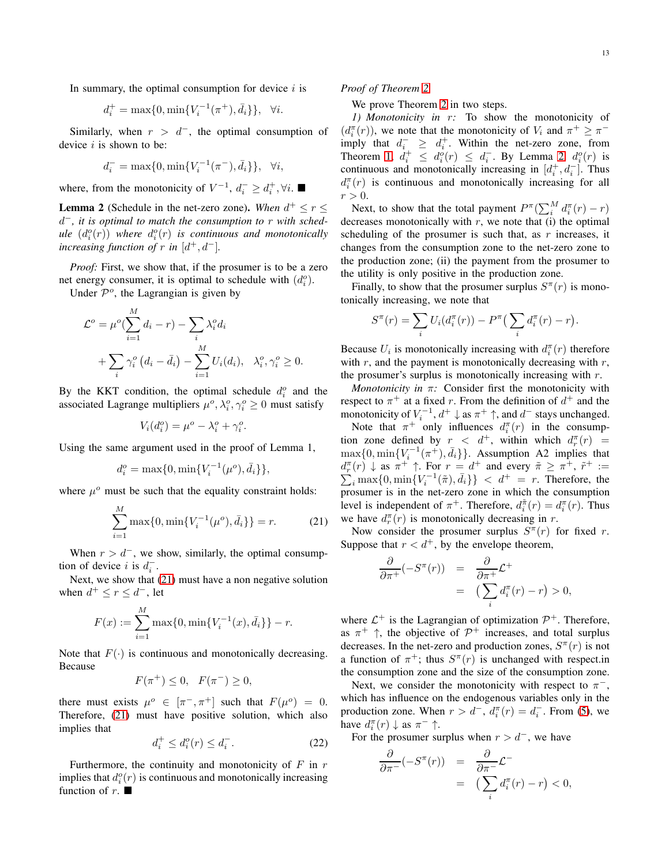In summary, the optimal consumption for device  $i$  is

$$
d_i^+ = \max\{0, \min\{V_i^{-1}(\pi^+), \bar{d}_i\}\}, \quad \forall i.
$$

Similarly, when  $r > d^-$ , the optimal consumption of device  $i$  is shown to be:

$$
d_i^- = \max\{0, \min\{V_i^{-1}(\pi^-), \bar{d}_i\}\}, \ \ \forall i,
$$

where, from the monotonicity of  $V^{-1}$ ,  $d_i^- \geq d_i^+$ ,  $\forall i$ .

<span id="page-12-0"></span>**Lemma 2** (Schedule in the net-zero zone). When  $d^+ \leq r \leq$ d <sup>−</sup>*, it is optimal to match the consumption to* r *with sched* $ule (d<sub>i</sub><sup>o</sup>(r)) where d<sub>i</sub><sup>o</sup>(r) is continuous and monotonically$ *increasing function of*  $r$  *in*  $[d^+, d^-]$ *.* 

*Proof:* First, we show that, if the prosumer is to be a zero net energy consumer, it is optimal to schedule with  $(d_i^o)$ .

Under  $\mathcal{P}^o$ , the Lagrangian is given by

$$
\mathcal{L}^o = \mu^o \left( \sum_{i=1}^M d_i - r \right) - \sum_i \lambda_i^o d_i
$$
  
+ 
$$
\sum_i \gamma_i^o \left( d_i - \bar{d}_i \right) - \sum_{i=1}^M U_i(d_i), \quad \lambda_i^o, \gamma_i^o \ge 0.
$$

By the KKT condition, the optimal schedule  $d_i^o$  and the associated Lagrange multipliers  $\mu^o, \lambda_i^o, \gamma_i^o \geq 0$  must satisfy

$$
V_i(d_i^o) = \mu^o - \lambda_i^o + \gamma_i^o.
$$

Using the same argument used in the proof of Lemma 1,

$$
d_i^o = \max\{0, \min\{V_i^{-1}(\mu^o), \bar{d}_i\}\},\
$$

where  $\mu^o$  must be such that the equality constraint holds:

<span id="page-12-1"></span>
$$
\sum_{i=1}^{M} \max\{0, \min\{V_i^{-1}(\mu^o), \bar{d}_i\}\} = r.
$$
 (21)

When  $r > d^-$ , we show, similarly, the optimal consumption of device *i* is  $d_i^-$ .

Next, we show that [\(21\)](#page-12-1) must have a non negative solution when  $d^+ \le r \le d^-$ , let

$$
F(x) := \sum_{i=1}^{M} \max\{0, \min\{V_i^{-1}(x), \bar{d}_i\}\} - r.
$$

Note that  $F(\cdot)$  is continuous and monotonically decreasing. Because

$$
F(\pi^+) \le 0, \ \ F(\pi^-) \ge 0,
$$

there must exists  $\mu^o \in [\pi^-, \pi^+]$  such that  $F(\mu^o) = 0$ . Therefore, [\(21\)](#page-12-1) must have positive solution, which also implies that

<span id="page-12-2"></span>
$$
d_i^+ \le d_i^o(r) \le d_i^-.
$$
\n<sup>(22)</sup>

Furthermore, the continuity and monotonicity of  $F$  in  $r$ implies that  $d_i^o(r)$  is continuous and monotonically increasing function of r.  $\blacksquare$ 

*Proof of Theorem [2](#page-5-3)*

We prove Theorem [2](#page-5-3) in two steps.

*1) Monotonicity in* r*:* To show the monotonicity of  $(d_i^{\pi}(r))$ , we note that the monotonicity of  $V_i$  and  $\pi^+ \geq \pi^$ imply that  $d_i^- \geq d_i^+$ . Within the net-zero zone, from Theorem [1,](#page-3-0)  $d_i^+ \leq d_i^o(r) \leq d_i^-$ . By Lemma [2,](#page-12-0)  $d_i^o(r)$  is continuous and monotonically increasing in  $[d_i^+, d_i^-]$ . Thus  $d_i^{\pi}(r)$  is continuous and monotonically increasing for all  $r > 0$ .

Next, to show that the total payment  $P^{\pi}(\sum_{i}^{M} d_{i}^{\pi}(r) - r)$ decreases monotonically with  $r$ , we note that (i) the optimal scheduling of the prosumer is such that, as  $r$  increases, it changes from the consumption zone to the net-zero zone to the production zone; (ii) the payment from the prosumer to the utility is only positive in the production zone.

Finally, to show that the prosumer surplus  $S^{\pi}(r)$  is monotonically increasing, we note that

$$
S^{\pi}(r) = \sum_i U_i(d_i^{\pi}(r)) - P^{\pi} \left( \sum_i d_i^{\pi}(r) - r \right).
$$

Because  $U_i$  is monotonically increasing with  $d_i^{\pi}(r)$  therefore with  $r$ , and the payment is monotonically decreasing with  $r$ , the prosumer's surplus is monotonically increasing with  $r$ .

*Monotonicity in* π*:* Consider first the monotonicity with respect to  $\pi^+$  at a fixed r. From the definition of  $d^+$  and the monotonicity of  $V_i^{-1}$ ,  $d^+ \downarrow$  as  $\pi^+ \uparrow$ , and  $d^-$  stays unchanged.

Note that  $\pi^+$  only influences  $d_i^{\pi}(r)$  in the consumption zone defined by  $r \leq d^+$ , within which  $d_r^{\pi}(r) =$  $\max\{0, \min\{V_i^{-1}(\pi^+), \bar{d}_i\}\}\$ . Assumption A2 implies that  $d_{r}^{\pi}(r) \downarrow$  as  $\pi^{+} \uparrow$ . For  $r = d^{+}$  and every  $\tilde{\pi} \geq \pi^{+}$ ,  $\tilde{r}^{+}$  $d_r^{\pi}(r) \downarrow$  as  $\pi^+ \uparrow$ . For  $r = d^+$  and every  $\tilde{\pi} \geq \pi^+$ ,  $\tilde{r}^+ := \sum_i \max\{0, \min\{V_i^{-1}(\tilde{\pi}), \bar{d}_i\}\} < d^+ = r$ . Therefore, the prosumer is in the net-zero zone in which the consumption level is independent of  $\pi^+$ . Therefore,  $d_i^{\tilde{\pi}}(r) = d_i^{\pi}(r)$ . Thus we have  $d_r^{\pi}(r)$  is monotonically decreasing in r.

Now consider the prosumer surplus  $S^{\pi}(r)$  for fixed r. Suppose that  $r < d^+$ , by the envelope theorem,

$$
\frac{\partial}{\partial \pi^+}(-S^{\pi}(r)) = \frac{\partial}{\partial \pi^+} \mathcal{L}^+
$$
  
= 
$$
\left(\sum_i d_i^{\pi}(r) - r\right) > 0,
$$

where  $\mathcal{L}^+$  is the Lagrangian of optimization  $\mathcal{P}^+$ . Therefore, as  $\pi^+$   $\uparrow$ , the objective of  $\mathcal{P}^+$  increases, and total surplus decreases. In the net-zero and production zones,  $S^{\pi}(r)$  is not a function of  $\pi^+$ ; thus  $S^{\pi}(r)$  is unchanged with respect.in the consumption zone and the size of the consumption zone.

Next, we consider the monotonicity with respect to  $\pi^-$ , which has influence on the endogenous variables only in the production zone. When  $r > d^-$ ,  $d_i^{\pi}(r) = d_i^-$ . From [\(5\)](#page-4-4), we have  $d_i^{\pi}(r) \downarrow$  as  $\pi^- \uparrow$ .

For the prosumer surplus when  $r > d^-$ , we have

$$
\frac{\partial}{\partial \pi^{-}}(-S^{\pi}(r)) = \frac{\partial}{\partial \pi^{-}}\mathcal{L}^{-}
$$

$$
= \left(\sum_{i} d_{i}^{\pi}(r) - r\right) < 0,
$$